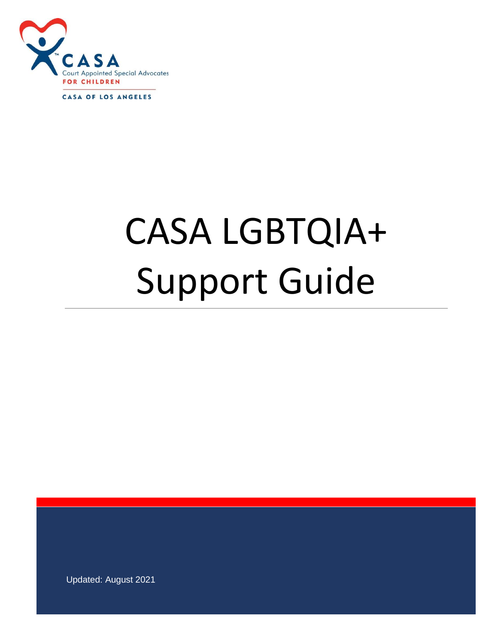

CASA OF LOS ANGELES

# CASA LGBTQIA+ Support Guide

Updated: August 2021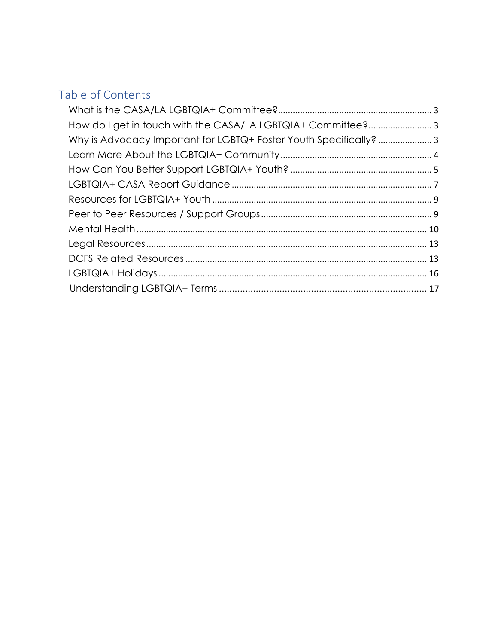# Table of Contents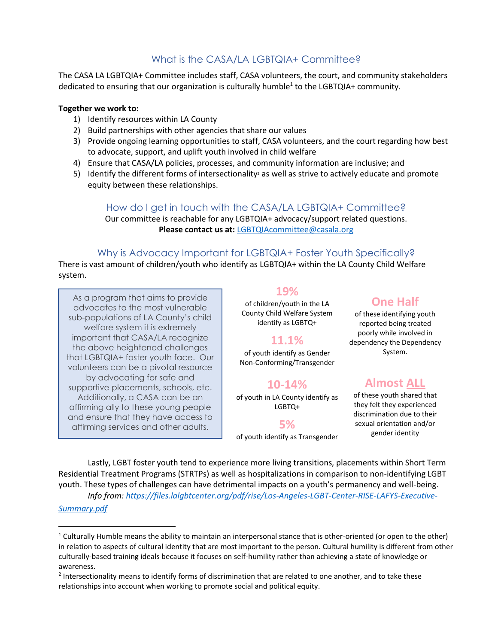# What is the CASA/LA LGBTQIA+ Committee?

<span id="page-2-0"></span>The CASA LA LGBTQIA+ Committee includes staff, CASA volunteers, the court, and community stakeholders dedicated to ensuring that our organization is culturally humble<sup>1</sup> to the LGBTQIA+ community.

## **Together we work to:**

- 1) Identify resources within LA County
- 2) Build partnerships with other agencies that share our values
- 3) Provide ongoing learning opportunities to staff, CASA volunteers, and the court regarding how best to advocate, support, and uplift youth involved in child welfare
- 4) Ensure that CASA/LA policies, processes, and community information are inclusive; and
- <span id="page-2-1"></span>5) Identify the different forms of intersectionality<sup>2</sup> as well as strive to actively educate and promote equity between these relationships.

# How do I get in touch with the CASA/LA LGBTQIA+ Committee?

Our committee is reachable for any LGBTQIA+ advocacy/support related questions. **Please contact us at:** [LGBTQIAcommittee@casala.org](mailto:LGBTQIA+committee@casala.org) 

# Why is Advocacy Important for LGBTQIA+ Foster Youth Specifically?

<span id="page-2-2"></span>There is vast amount of children/youth who identify as LGBTQIA+ within the LA County Child Welfare system.

As a program that aims to provide advocates to the most vulnerable sub-populations of LA County's child welfare system it is extremely important that CASA/LA recognize the above heightened challenges that LGBTQIA+ foster youth face. Our volunteers can be a pivotal resource by advocating for safe and supportive placements, schools, etc. Additionally, a CASA can be an affirming ally to these young people and ensure that they have access to affirming services and other adults.

 $\overline{a}$ 

# **19%**

of children/youth in the LA County Child Welfare System identify as LGBTQ+

# **11.1%**

of youth identify as Gender Non-Conforming/Transgender

**10-14%**

of youth in LA County identify as LGBTQ+

**5%** of youth identify as Transgender

# **One Half**

of these identifying youth reported being treated poorly while involved in dependency the Dependency System.

# **Almost ALL**

of these youth shared that they felt they experienced discrimination due to their sexual orientation and/or gender identity

Lastly, LGBT foster youth tend to experience more living transitions, placements within Short Term Residential Treatment Programs (STRTPs) as well as hospitalizations in comparison to non-identifying LGBT youth. These types of challenges can have detrimental impacts on a youth's permanency and well-being.

*Info from: [https://files.lalgbtcenter.org/pdf/rise/Los-Angeles-LGBT-Center-RISE-LAFYS-Executive-](https://files.lalgbtcenter.org/pdf/rise/Los-Angeles-LGBT-Center-RISE-LAFYS-Executive-Summary.pdf)[Summary.pdf](https://files.lalgbtcenter.org/pdf/rise/Los-Angeles-LGBT-Center-RISE-LAFYS-Executive-Summary.pdf)*

<sup>&</sup>lt;sup>1</sup> Culturally Humble means the ability to maintain an interpersonal stance that is other-oriented (or open to the other) in relation to aspects of cultural identity that are most important to the person. Cultural humility is different from other culturally-based training ideals because it focuses on self-humility rather than achieving a state of knowledge or awareness.

 $^2$  Intersectionality means to identify forms of discrimination that are related to one another, and to take these relationships into account when working to promote social and political equity.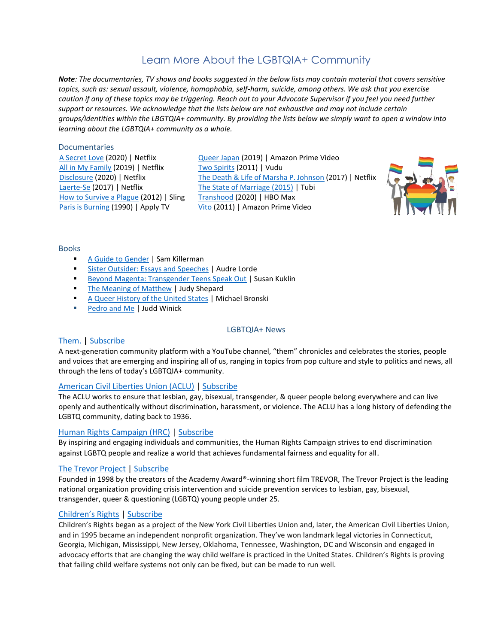# Learn More About the LGBTQIA+ Community

<span id="page-3-0"></span>*Note: The documentaries, TV shows and books suggested in the below lists may contain material that covers sensitive topics, such as: sexual assault, violence, homophobia, self-harm, suicide, among others. We ask that you exercise caution if any of these topics may be triggering. Reach out to your Advocate Supervisor if you feel you need further support or resources. We acknowledge that the lists below are not exhaustive and may not include certain groups/identities within the LBGTQIA+ community. By providing the lists below we simply want to open a window into learning about the LGBTQIA+ community as a whole.*

## Documentaries

[A Secret Love](https://www.imdb.com/title/tt3260524/?ref_=fn_al_tt_1) (2020) | Netflix [All in My Family](https://www.imdb.com/title/tt9097148/?ref_=fn_al_tt_1) (2019) | Netflix [Disclosure](https://www.imdb.com/title/tt8637504/?ref_=fn_al_tt_2) (2020) | Netflix [Laerte-Se](https://www.imdb.com/title/tt6791240/?ref_=fn_al_tt_1) (2017) | Netflix [How to Survive a Plague](https://www.imdb.com/title/tt2124803/?ref_=fn_al_tt_1) (2012) | Sling [Paris is Burning](https://www.imdb.com/title/tt0100332/?ref_=fn_al_tt_1) (1990) | Apply TV

[Queer Japan](https://www.imdb.com/title/tt10489290/?ref_=fn_al_tt_1) (2019) | Amazon Prime Video [Two Spirits](https://www.imdb.com/title/tt1296906/?ref_=fn_al_tt_1) (2011) | Vudu [The Death & Life of Marsha P. Johnson](https://www.imdb.com/title/tt5233558/?ref_=fn_al_tt_1) (2017) | Netflix [The State of Marriage \(2015\)](https://www.imdb.com/title/tt4096638/?ref_=fn_al_tt_1) | Tubi [Transhood](https://www.imdb.com/title/tt11447806/?ref_=fn_al_tt_1) (2020) | HBO Max [Vito](https://www.imdb.com/title/tt1444284/?ref_=fn_tt_tt_1) (2011) | Amazon Prime Video



## Books

- [A Guide to Gender](https://guidetogender.com/) | Sam Killerman
- [Sister Outsider: Essays and Speeches](https://www.penguinrandomhouse.com/books/198292/sister-outsider-by-audre-lorde/) | Audre Lorde
- Beyond [Magenta: Transgender Teens Speak Out](http://www.susankuklin.net/young-adult-books/beyond-magenta-transgender-teens-speak-out/) | Susan Kuklin
- **[The Meaning of Matthew](https://www.penguinrandomhouse.com/books/304239/the-meaning-of-matthew-by-judy-shepard/#:~:text=The%20Meaning%20of%20Matthew%20is%20more%20than%20a%20retelling%20of,See%20More) | Judy Shepard**
- [A Queer History of the United States](https://www.penguinrandomhouse.com/books/216629/a-queer-history-of-the-united-states-by-michael-bronski/) | Michael Bronski
- [Pedro and Me](https://us.macmillan.com/books/9780805089646) | Judd Winick

## LGBTQIA+ News

## [Them.](https://www.them.us/) **|** [Subscribe](https://www.them.us/newsletter/subscribe)

A next-generation community platform with a YouTube channel, "them" chronicles and celebrates the stories, people and voices that are emerging and inspiring all of us, ranging in topics from pop culture and style to politics and news, all through the lens of today's LGBTQIA+ community.

## [American Civil Liberties Union \(ACLU\)](https://www.aclu.org/issues/lgbtq-rights) | [Subscribe](https://action.aclu.org/signup/sign-aclu-weekly-newsletter)

The ACLU works to ensure that lesbian, gay, bisexual, transgender, & queer people belong everywhere and can live openly and authentically without discrimination, harassment, or violence. The ACLU has a long history of defending the LGBTQ community, dating back to 1936.

## [Human Rights Campaign \(HRC\)](https://www.hrc.org/) | [Subscribe](https://www.hrc.org/resources/project-thrive-monthly-newsletter)

By inspiring and engaging individuals and communities, the Human Rights Campaign strives to end discrimination against LGBTQ people and realize a world that achieves fundamental fairness and equality for all.

## [The Trevor Project](https://www.thetrevorproject.org/) [| Subscribe](https://forms.thetrevorproject.org/428488)

Founded in 1998 by the creators of the Academy Award®-winning short film TREVOR, The Trevor Project is the leading national organization providing crisis intervention and suicide prevention services to lesbian, gay, bisexual, transgender, queer & questioning (LGBTQ) young people under 25.

## [Children's Rights](https://www.childrensrights.org/lgbtq-2/) [| Subscribe](https://secure3.convio.net/crig/site/SSurvey;jsessionid=00000000.app30119a?NONCE_TOKEN=89EEB4F53FB8FECF58504D9CC42979A3&ACTION_REQUIRED=URI_ACTION_USER_REQUESTS&SURVEY_ID=1162)

Children's Rights began as a project of the New York Civil Liberties Union and, later, the American Civil Liberties Union, and in 1995 became an independent nonprofit organization. They've won landmark legal victories in Connecticut, Georgia, Michigan, Mississippi, New Jersey, Oklahoma, Tennessee, Washington, DC and Wisconsin and engaged in advocacy efforts that are changing the way child welfare is practiced in the United States. Children's Rights is proving that failing child welfare systems not only can be fixed, but can be made to run well.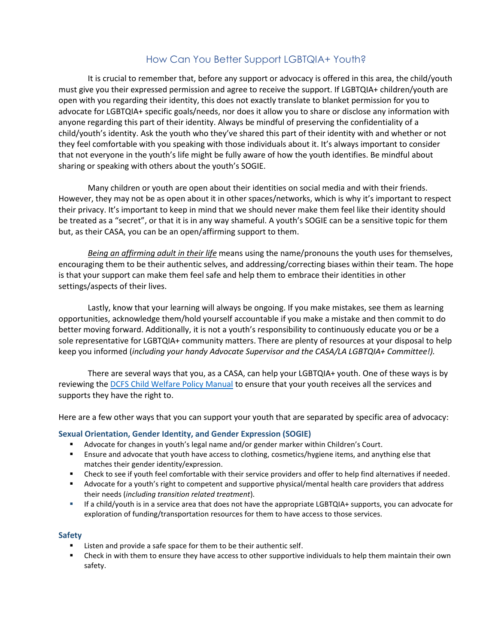# How Can You Better Support LGBTQIA+ Youth?

<span id="page-4-0"></span>It is crucial to remember that, before any support or advocacy is offered in this area, the child/youth must give you their expressed permission and agree to receive the support. If LGBTQIA+ children/youth are open with you regarding their identity, this does not exactly translate to blanket permission for you to advocate for LGBTQIA+ specific goals/needs, nor does it allow you to share or disclose any information with anyone regarding this part of their identity. Always be mindful of preserving the confidentiality of a child/youth's identity. Ask the youth who they've shared this part of their identity with and whether or not they feel comfortable with you speaking with those individuals about it. It's always important to consider that not everyone in the youth's life might be fully aware of how the youth identifies. Be mindful about sharing or speaking with others about the youth's SOGIE.

Many children or youth are open about their identities on social media and with their friends. However, they may not be as open about it in other spaces/networks, which is why it's important to respect their privacy. It's important to keep in mind that we should never make them feel like their identity should be treated as a "secret", or that it is in any way shameful. A youth's SOGIE can be a sensitive topic for them but, as their CASA, you can be an open/affirming support to them.

*Being an affirming adult in their life* means using the name/pronouns the youth uses for themselves, encouraging them to be their authentic selves, and addressing/correcting biases within their team. The hope is that your support can make them feel safe and help them to embrace their identities in other settings/aspects of their lives.

Lastly, know that your learning will always be ongoing. If you make mistakes, see them as learning opportunities, acknowledge them/hold yourself accountable if you make a mistake and then commit to do better moving forward. Additionally, it is not a youth's responsibility to continuously educate you or be a sole representative for LGBTQIA+ community matters. There are plenty of resources at your disposal to help keep you informed (*including your handy Advocate Supervisor and the CASA/LA LGBTQIA+ Committee!).* 

There are several ways that you, as a CASA, can help your LGBTQIA+ youth. One of these ways is by reviewing th[e DCFS Child Welfare Policy Manual](http://policy.dcfs.lacounty.gov/#LGBTQ.htm?Highlight=LGBTQ) to ensure that your youth receives all the services and supports they have the right to.

Here are a few other ways that you can support your youth that are separated by specific area of advocacy:

## **Sexual Orientation, Gender Identity, and Gender Expression (SOGIE)**

- Advocate for changes in youth's legal name and/or gender marker within Children's Court.
- **E** Ensure and advocate that youth have access to clothing, cosmetics/hygiene items, and anything else that matches their gender identity/expression.
- Check to see if youth feel comfortable with their service providers and offer to help find alternatives if needed.
- Advocate for a youth's right to competent and supportive physical/mental health care providers that address their needs (*including transition related treatment*).
- If a child/youth is in a service area that does not have the appropriate LGBTQIA+ supports, you can advocate for exploration of funding/transportation resources for them to have access to those services.

## **Safety**

- Listen and provide a safe space for them to be their authentic self.
- Check in with them to ensure they have access to other supportive individuals to help them maintain their own safety.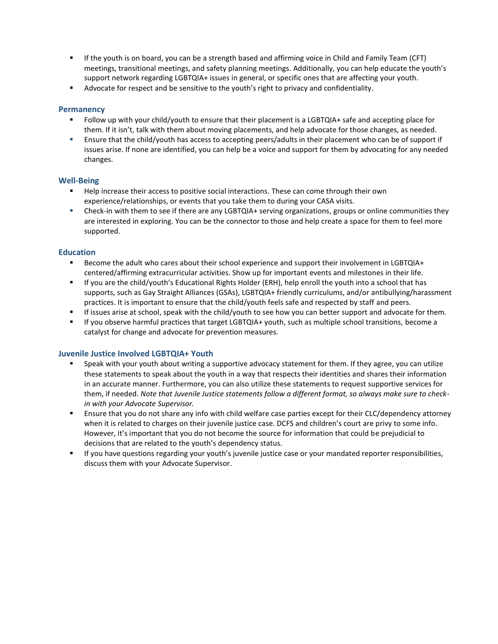- If the youth is on board, you can be a strength based and affirming voice in Child and Family Team (CFT) meetings, transitional meetings, and safety planning meetings. Additionally, you can help educate the youth's support network regarding LGBTQIA+ issues in general, or specific ones that are affecting your youth.
- Advocate for respect and be sensitive to the youth's right to privacy and confidentiality.

## **Permanency**

- Follow up with your child/youth to ensure that their placement is a LGBTQIA+ safe and accepting place for them. If it isn't, talk with them about moving placements, and help advocate for those changes, as needed.
- Ensure that the child/youth has access to accepting peers/adults in their placement who can be of support if issues arise. If none are identified, you can help be a voice and support for them by advocating for any needed changes.

## **Well-Being**

- Help increase their access to positive social interactions. These can come through their own experience/relationships, or events that you take them to during your CASA visits.
- Check-in with them to see if there are any LGBTQIA+ serving organizations, groups or online communities they are interested in exploring. You can be the connector to those and help create a space for them to feel more supported.

## **Education**

- Become the adult who cares about their school experience and support their involvement in LGBTQIA+ centered/affirming extracurricular activities. Show up for important events and milestones in their life.
- If you are the child/youth's Educational Rights Holder (ERH), help enroll the youth into a school that has supports, such as Gay Straight Alliances (GSAs), LGBTQIA+ friendly curriculums, and/or antibullying/harassment practices. It is important to ensure that the child/youth feels safe and respected by staff and peers.
- If issues arise at school, speak with the child/youth to see how you can better support and advocate for them.
- If you observe harmful practices that target LGBTQIA+ youth, such as multiple school transitions, become a catalyst for change and advocate for prevention measures.

## **Juvenile Justice Involved LGBTQIA+ Youth**

- Speak with your youth about writing a supportive advocacy statement for them. If they agree, you can utilize these statements to speak about the youth in a way that respects their identities and shares their information in an accurate manner. Furthermore, you can also utilize these statements to request supportive services for them, if needed. *Note that Juvenile Justice statements follow a different format, so always make sure to checkin with your Advocate Supervisor.*
- Ensure that you do not share any info with child welfare case parties except for their CLC/dependency attorney when it is related to charges on their juvenile justice case. DCFS and children's court are privy to some info. However, it's important that you do not become the source for information that could be prejudicial to decisions that are related to the youth's dependency status.
- If you have questions regarding your youth's juvenile justice case or your mandated reporter responsibilities, discuss them with your Advocate Supervisor.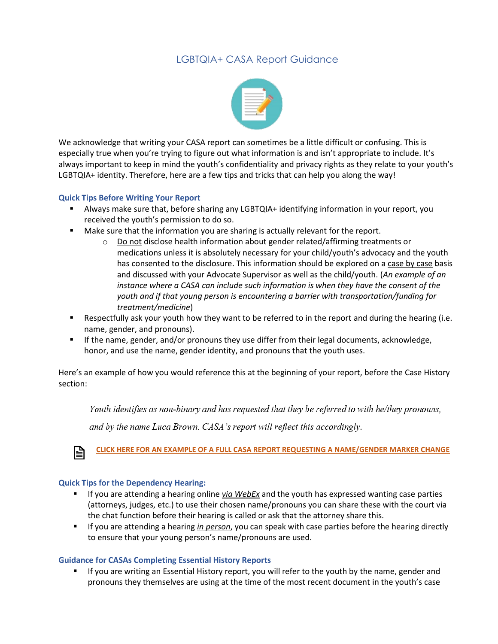# <span id="page-6-0"></span>LGBTQIA+ CASA Report Guidance



We acknowledge that writing your CASA report can sometimes be a little difficult or confusing. This is especially true when you're trying to figure out what information is and isn't appropriate to include. It's always important to keep in mind the youth's confidentiality and privacy rights as they relate to your youth's LGBTQIA+ identity. Therefore, here are a few tips and tricks that can help you along the way!

## **Quick Tips Before Writing Your Report**

- **E** Always make sure that, before sharing any LGBTQIA+ identifying information in your report, you received the youth's permission to do so.
- Make sure that the information you are sharing is actually relevant for the report.
	- $\circ$  Do not disclose health information about gender related/affirming treatments or medications unless it is absolutely necessary for your child/youth's advocacy and the youth has consented to the disclosure. This information should be explored on a case by case basis and discussed with your Advocate Supervisor as well as the child/youth. (*An example of an instance where a CASA can include such information is when they have the consent of the youth and if that young person is encountering a barrier with transportation/funding for treatment/medicine*)
- Respectfully ask your youth how they want to be referred to in the report and during the hearing (i.e. name, gender, and pronouns).
- **■** If the name, gender, and/or pronouns they use differ from their legal documents, acknowledge, honor, and use the name, gender identity, and pronouns that the youth uses.

Here's an example of how you would reference this at the beginning of your report, before the Case History section:

Youth identifies as non-binary and has requested that they be referred to with he/they pronouns,

and by the name Luca Brown. CASA's report will reflect this accordingly.



**[CLICK HERE FOR AN EXAMPLE OF A FULL CASA REPORT REQUESTING A NAME/GENDER MARKER CHANGE](https://casala.org/wp-content/uploads/2021/08/CASA-Example-Report-Gender-and-Name-Change-Rev.-8.5.2021.pdf)**

## **Quick Tips for the Dependency Hearing:**

- If you are attending a hearing online *via WebEx* and the youth has expressed wanting case parties (attorneys, judges, etc.) to use their chosen name/pronouns you can share these with the court via the chat function before their hearing is called or ask that the attorney share this.
- If you are attending a hearing *in person*, you can speak with case parties before the hearing directly to ensure that your young person's name/pronouns are used.

## **Guidance for CASAs Completing Essential History Reports**

**■** If you are writing an Essential History report, you will refer to the youth by the name, gender and pronouns they themselves are using at the time of the most recent document in the youth's case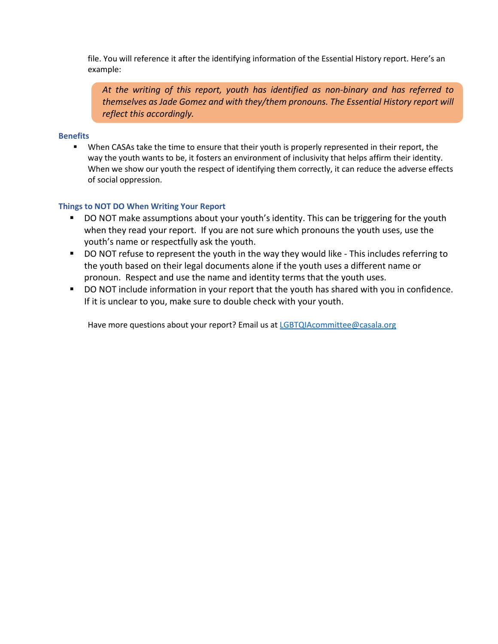file. You will reference it after the identifying information of the Essential History report. Here's an example:

*At the writing of this report, youth has identified as non-binary and has referred to themselves as Jade Gomez and with they/them pronouns. The Essential History report will reflect this accordingly.* 

## **Benefits**

■ When CASAs take the time to ensure that their youth is properly represented in their report, the way the youth wants to be, it fosters an environment of inclusivity that helps affirm their identity. When we show our youth the respect of identifying them correctly, it can reduce the adverse effects of social oppression.

# **Things to NOT DO When Writing Your Report**

- DO NOT make assumptions about your youth's identity. This can be triggering for the youth when they read your report. If you are not sure which pronouns the youth uses, use the youth's name or respectfully ask the youth.
- DO NOT refuse to represent the youth in the way they would like This includes referring to the youth based on their legal documents alone if the youth uses a different name or pronoun. Respect and use the name and identity terms that the youth uses.
- DO NOT include information in your report that the youth has shared with you in confidence. If it is unclear to you, make sure to double check with your youth.

Have more questions about your report? Email us at [LGBTQIAcommittee@casala.org](mailto:LGBTQIAcommittee@casala.org)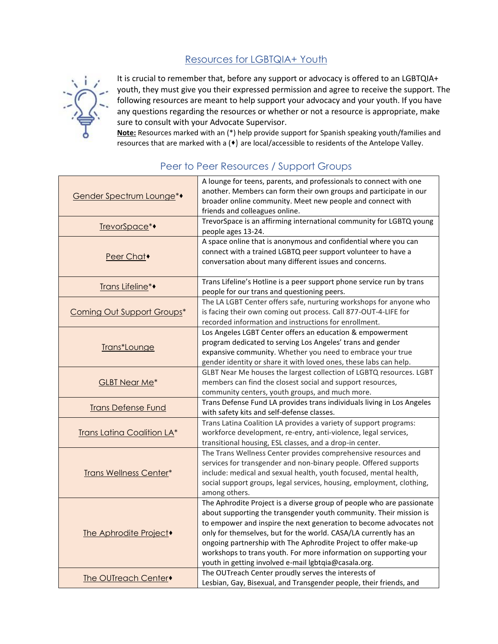# Resources for LGBTQIA+ Youth

<span id="page-8-0"></span>

It is crucial to remember that, before any support or advocacy is offered to an LGBTQIA+ youth, they must give you their expressed permission and agree to receive the support. The following resources are meant to help support your advocacy and your youth. If you have any questions regarding the resources or whether or not a resource is appropriate, make sure to consult with your Advocate Supervisor.

**Note:** Resources marked with an (\*) help provide support for Spanish speaking youth/families and resources that are marked with a  $(\bullet)$  are local/accessible to residents of the Antelope Valley.

<span id="page-8-1"></span>

|                                    | A lounge for teens, parents, and professionals to connect with one     |  |
|------------------------------------|------------------------------------------------------------------------|--|
| Gender Spectrum Lounge**           | another. Members can form their own groups and participate in our      |  |
|                                    | broader online community. Meet new people and connect with             |  |
|                                    | friends and colleagues online.                                         |  |
|                                    | TrevorSpace is an affirming international community for LGBTQ young    |  |
| TrevorSpace**                      | people ages 13-24.                                                     |  |
|                                    | A space online that is anonymous and confidential where you can        |  |
|                                    | connect with a trained LGBTQ peer support volunteer to have a          |  |
| Peer Chat <sup>•</sup>             | conversation about many different issues and concerns.                 |  |
|                                    |                                                                        |  |
|                                    | Trans Lifeline's Hotline is a peer support phone service run by trans  |  |
| Trans Lifeline*                    | people for our trans and questioning peers.                            |  |
|                                    | The LA LGBT Center offers safe, nurturing workshops for anyone who     |  |
| Coming Out Support Groups*         | is facing their own coming out process. Call 877-OUT-4-LIFE for        |  |
|                                    | recorded information and instructions for enrollment.                  |  |
|                                    | Los Angeles LGBT Center offers an education & empowerment              |  |
|                                    | program dedicated to serving Los Angeles' trans and gender             |  |
| Trans*Lounge                       | expansive community. Whether you need to embrace your true             |  |
|                                    | gender identity or share it with loved ones, these labs can help.      |  |
|                                    | GLBT Near Me houses the largest collection of LGBTQ resources. LGBT    |  |
| <b>GLBT Near Me*</b>               | members can find the closest social and support resources,             |  |
|                                    | community centers, youth groups, and much more.                        |  |
| <b>Trans Defense Fund</b>          | Trans Defense Fund LA provides trans individuals living in Los Angeles |  |
|                                    | with safety kits and self-defense classes.                             |  |
|                                    | Trans Latina Coalition LA provides a variety of support programs:      |  |
| <b>Trans Latina Coalition LA*</b>  | workforce development, re-entry, anti-violence, legal services,        |  |
|                                    | transitional housing, ESL classes, and a drop-in center.               |  |
|                                    | The Trans Wellness Center provides comprehensive resources and         |  |
|                                    | services for transgender and non-binary people. Offered supports       |  |
| <b>Trans Wellness Center*</b>      | include: medical and sexual health, youth focused, mental health,      |  |
|                                    | social support groups, legal services, housing, employment, clothing,  |  |
|                                    | among others.                                                          |  |
|                                    | The Aphrodite Project is a diverse group of people who are passionate  |  |
|                                    | about supporting the transgender youth community. Their mission is     |  |
|                                    | to empower and inspire the next generation to become advocates not     |  |
| The Aphrodite Project <sup>+</sup> | only for themselves, but for the world. CASA/LA currently has an       |  |
|                                    | ongoing partnership with The Aphrodite Project to offer make-up        |  |
|                                    | workshops to trans youth. For more information on supporting your      |  |
|                                    | youth in getting involved e-mail lgbtqia@casala.org.                   |  |
| The OUTreach Center <sup>+</sup>   | The OUTreach Center proudly serves the interests of                    |  |
|                                    | Lesbian, Gay, Bisexual, and Transgender people, their friends, and     |  |

# Peer to Peer Resources / Support Groups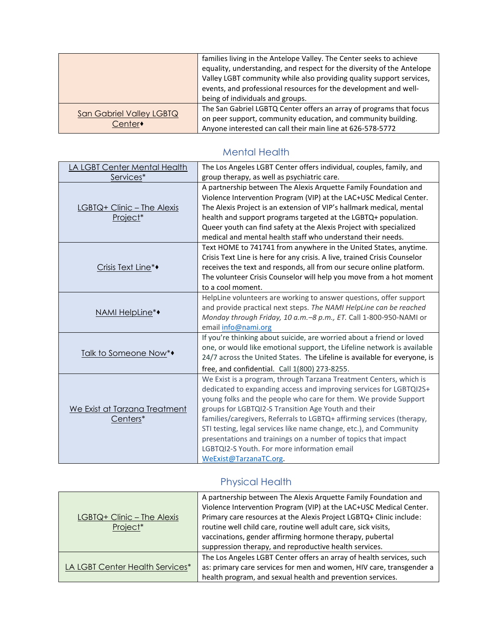|                                 | families living in the Antelope Valley. The Center seeks to achieve    |  |
|---------------------------------|------------------------------------------------------------------------|--|
|                                 | equality, understanding, and respect for the diversity of the Antelope |  |
|                                 | Valley LGBT community while also providing quality support services,   |  |
|                                 | events, and professional resources for the development and well-       |  |
|                                 | being of individuals and groups.                                       |  |
|                                 | The San Gabriel LGBTQ Center offers an array of programs that focus    |  |
| <b>San Gabriel Valley LGBTQ</b> | on peer support, community education, and community building.          |  |
| Center <sup>+</sup>             | Anyone interested can call their main line at 626-578-5772             |  |

# Mental Health

<span id="page-9-0"></span>

| LA LGBT Center Mental Health<br>Services* | The Los Angeles LGBT Center offers individual, couples, family, and<br>group therapy, as well as psychiatric care.                                                                                                                                                                                                                                                                                                                                                                                                                                          |
|-------------------------------------------|-------------------------------------------------------------------------------------------------------------------------------------------------------------------------------------------------------------------------------------------------------------------------------------------------------------------------------------------------------------------------------------------------------------------------------------------------------------------------------------------------------------------------------------------------------------|
| LGBTQ+ Clinic - The Alexis<br>Project*    | A partnership between The Alexis Arquette Family Foundation and<br>Violence Intervention Program (VIP) at the LAC+USC Medical Center.<br>The Alexis Project is an extension of VIP's hallmark medical, mental<br>health and support programs targeted at the LGBTQ+ population.<br>Queer youth can find safety at the Alexis Project with specialized<br>medical and mental health staff who understand their needs.                                                                                                                                        |
| Crisis Text Line**                        | Text HOME to 741741 from anywhere in the United States, anytime.<br>Crisis Text Line is here for any crisis. A live, trained Crisis Counselor<br>receives the text and responds, all from our secure online platform.<br>The volunteer Crisis Counselor will help you move from a hot moment<br>to a cool moment.                                                                                                                                                                                                                                           |
| NAMI HelpLine*                            | HelpLine volunteers are working to answer questions, offer support<br>and provide practical next steps. The NAMI HelpLine can be reached<br>Monday through Friday, 10 a.m. - 8 p.m., ET. Call 1-800-950-NAMI or<br>email info@nami.org                                                                                                                                                                                                                                                                                                                      |
| Talk to Someone Now**                     | If you're thinking about suicide, are worried about a friend or loved<br>one, or would like emotional support, the Lifeline network is available<br>24/7 across the United States. The Lifeline is available for everyone, is<br>free, and confidential. Call 1(800) 273-8255.                                                                                                                                                                                                                                                                              |
| We Exist at Tarzana Treatment<br>Centers* | We Exist is a program, through Tarzana Treatment Centers, which is<br>dedicated to expanding access and improving services for LGBTQI2S+<br>young folks and the people who care for them. We provide Support<br>groups for LGBTQI2-S Transition Age Youth and their<br>families/caregivers, Referrals to LGBTQ+ affirming services (therapy,<br>STI testing, legal services like name change, etc.), and Community<br>presentations and trainings on a number of topics that impact<br>LGBTQI2-S Youth. For more information email<br>WeExist@TarzanaTC.org |

# Physical Health

|                                 | A partnership between The Alexis Arquette Family Foundation and      |  |
|---------------------------------|----------------------------------------------------------------------|--|
|                                 | Violence Intervention Program (VIP) at the LAC+USC Medical Center.   |  |
| LGBTQ+ Clinic - The Alexis      | Primary care resources at the Alexis Project LGBTQ+ Clinic include:  |  |
| Project*                        | routine well child care, routine well adult care, sick visits,       |  |
|                                 | vaccinations, gender affirming hormone therapy, pubertal             |  |
|                                 | suppression therapy, and reproductive health services.               |  |
|                                 | The Los Angeles LGBT Center offers an array of health services, such |  |
| LA LGBT Center Health Services* | as: primary care services for men and women, HIV care, transgender a |  |
|                                 | health program, and sexual health and prevention services.           |  |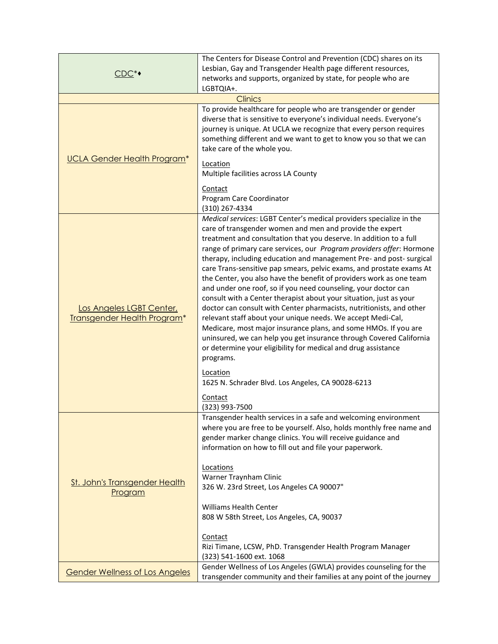| CDC*•                                                   | The Centers for Disease Control and Prevention (CDC) shares on its<br>Lesbian, Gay and Transgender Health page different resources,<br>networks and supports, organized by state, for people who are                                                                                                                                                                                                                                                                                                                                                                                                                                                                                                                                                                                                                                                                                                                                                                                                       |  |  |
|---------------------------------------------------------|------------------------------------------------------------------------------------------------------------------------------------------------------------------------------------------------------------------------------------------------------------------------------------------------------------------------------------------------------------------------------------------------------------------------------------------------------------------------------------------------------------------------------------------------------------------------------------------------------------------------------------------------------------------------------------------------------------------------------------------------------------------------------------------------------------------------------------------------------------------------------------------------------------------------------------------------------------------------------------------------------------|--|--|
|                                                         | LGBTQIA+.                                                                                                                                                                                                                                                                                                                                                                                                                                                                                                                                                                                                                                                                                                                                                                                                                                                                                                                                                                                                  |  |  |
|                                                         | <b>Clinics</b>                                                                                                                                                                                                                                                                                                                                                                                                                                                                                                                                                                                                                                                                                                                                                                                                                                                                                                                                                                                             |  |  |
| UCLA Gender Health Program*                             | To provide healthcare for people who are transgender or gender<br>diverse that is sensitive to everyone's individual needs. Everyone's<br>journey is unique. At UCLA we recognize that every person requires<br>something different and we want to get to know you so that we can<br>take care of the whole you.<br>Location<br>Multiple facilities across LA County<br>Contact<br>Program Care Coordinator                                                                                                                                                                                                                                                                                                                                                                                                                                                                                                                                                                                                |  |  |
|                                                         | (310) 267-4334                                                                                                                                                                                                                                                                                                                                                                                                                                                                                                                                                                                                                                                                                                                                                                                                                                                                                                                                                                                             |  |  |
| Los Angeles LGBT Center,<br>Transgender Health Program* | Medical services: LGBT Center's medical providers specialize in the<br>care of transgender women and men and provide the expert<br>treatment and consultation that you deserve. In addition to a full<br>range of primary care services, our Program providers offer: Hormone<br>therapy, including education and management Pre- and post- surgical<br>care Trans-sensitive pap smears, pelvic exams, and prostate exams At<br>the Center, you also have the benefit of providers work as one team<br>and under one roof, so if you need counseling, your doctor can<br>consult with a Center therapist about your situation, just as your<br>doctor can consult with Center pharmacists, nutritionists, and other<br>relevant staff about your unique needs. We accept Medi-Cal,<br>Medicare, most major insurance plans, and some HMOs. If you are<br>uninsured, we can help you get insurance through Covered California<br>or determine your eligibility for medical and drug assistance<br>programs. |  |  |
|                                                         | Location<br>1625 N. Schrader Blvd. Los Angeles, CA 90028-6213                                                                                                                                                                                                                                                                                                                                                                                                                                                                                                                                                                                                                                                                                                                                                                                                                                                                                                                                              |  |  |
|                                                         | Contact<br>(323) 993-7500                                                                                                                                                                                                                                                                                                                                                                                                                                                                                                                                                                                                                                                                                                                                                                                                                                                                                                                                                                                  |  |  |
| <b>St. John's Transgender Health</b><br>Program         | Transgender health services in a safe and welcoming environment<br>where you are free to be yourself. Also, holds monthly free name and<br>gender marker change clinics. You will receive guidance and<br>information on how to fill out and file your paperwork.                                                                                                                                                                                                                                                                                                                                                                                                                                                                                                                                                                                                                                                                                                                                          |  |  |
|                                                         | Locations<br>Warner Traynham Clinic<br>326 W. 23rd Street, Los Angeles CA 90007"                                                                                                                                                                                                                                                                                                                                                                                                                                                                                                                                                                                                                                                                                                                                                                                                                                                                                                                           |  |  |
|                                                         | <b>Williams Health Center</b><br>808 W 58th Street, Los Angeles, CA, 90037                                                                                                                                                                                                                                                                                                                                                                                                                                                                                                                                                                                                                                                                                                                                                                                                                                                                                                                                 |  |  |
|                                                         | Contact<br>Rizi Timane, LCSW, PhD. Transgender Health Program Manager<br>(323) 541-1600 ext. 1068                                                                                                                                                                                                                                                                                                                                                                                                                                                                                                                                                                                                                                                                                                                                                                                                                                                                                                          |  |  |
| <b>Gender Wellness of Los Angeles</b>                   | Gender Wellness of Los Angeles (GWLA) provides counseling for the<br>transgender community and their families at any point of the journey                                                                                                                                                                                                                                                                                                                                                                                                                                                                                                                                                                                                                                                                                                                                                                                                                                                                  |  |  |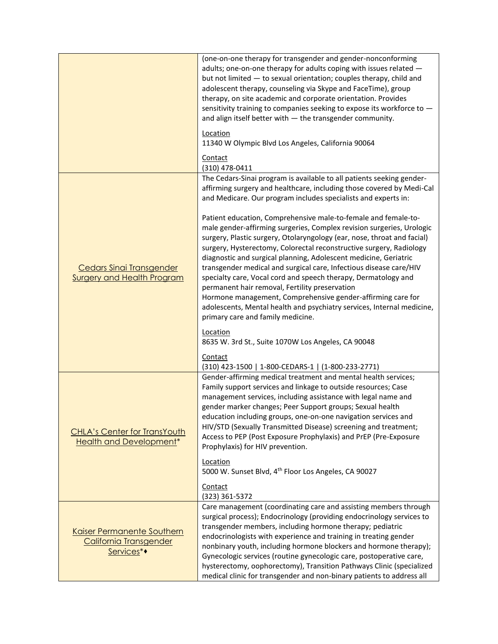|                                                                       | (one-on-one therapy for transgender and gender-nonconforming<br>adults; one-on-one therapy for adults coping with issues related -<br>but not limited - to sexual orientation; couples therapy, child and<br>adolescent therapy, counseling via Skype and FaceTime), group<br>therapy, on site academic and corporate orientation. Provides<br>sensitivity training to companies seeking to expose its workforce to -<br>and align itself better with - the transgender community.<br>Location                                                                                                                                                                                                                                        |
|-----------------------------------------------------------------------|---------------------------------------------------------------------------------------------------------------------------------------------------------------------------------------------------------------------------------------------------------------------------------------------------------------------------------------------------------------------------------------------------------------------------------------------------------------------------------------------------------------------------------------------------------------------------------------------------------------------------------------------------------------------------------------------------------------------------------------|
|                                                                       | 11340 W Olympic Blvd Los Angeles, California 90064<br>Contact                                                                                                                                                                                                                                                                                                                                                                                                                                                                                                                                                                                                                                                                         |
|                                                                       | (310) 478-0411                                                                                                                                                                                                                                                                                                                                                                                                                                                                                                                                                                                                                                                                                                                        |
|                                                                       | The Cedars-Sinai program is available to all patients seeking gender-<br>affirming surgery and healthcare, including those covered by Medi-Cal<br>and Medicare. Our program includes specialists and experts in:                                                                                                                                                                                                                                                                                                                                                                                                                                                                                                                      |
| <b>Cedars Sinai Transgender</b><br><b>Surgery and Health Program</b>  | Patient education, Comprehensive male-to-female and female-to-<br>male gender-affirming surgeries, Complex revision surgeries, Urologic<br>surgery, Plastic surgery, Otolaryngology (ear, nose, throat and facial)<br>surgery, Hysterectomy, Colorectal reconstructive surgery, Radiology<br>diagnostic and surgical planning, Adolescent medicine, Geriatric<br>transgender medical and surgical care, Infectious disease care/HIV<br>specialty care, Vocal cord and speech therapy, Dermatology and<br>permanent hair removal, Fertility preservation<br>Hormone management, Comprehensive gender-affirming care for<br>adolescents, Mental health and psychiatry services, Internal medicine,<br>primary care and family medicine. |
|                                                                       | Location<br>8635 W. 3rd St., Suite 1070W Los Angeles, CA 90048                                                                                                                                                                                                                                                                                                                                                                                                                                                                                                                                                                                                                                                                        |
|                                                                       | Contact<br>(310) 423-1500   1-800-CEDARS-1   (1-800-233-2771)                                                                                                                                                                                                                                                                                                                                                                                                                                                                                                                                                                                                                                                                         |
| <b>CHLA's Center for TransYouth</b><br><b>Health and Development*</b> | Gender-affirming medical treatment and mental health services;<br>Family support services and linkage to outside resources; Case<br>management services, including assistance with legal name and<br>gender marker changes; Peer Support groups; Sexual health<br>education including groups, one-on-one navigation services and<br>HIV/STD (Sexually Transmitted Disease) screening and treatment;<br>Access to PEP (Post Exposure Prophylaxis) and PrEP (Pre-Exposure<br>Prophylaxis) for HIV prevention.                                                                                                                                                                                                                           |
|                                                                       | Location<br>5000 W. Sunset Blvd, 4 <sup>th</sup> Floor Los Angeles, CA 90027                                                                                                                                                                                                                                                                                                                                                                                                                                                                                                                                                                                                                                                          |
|                                                                       | Contact<br>(323) 361-5372                                                                                                                                                                                                                                                                                                                                                                                                                                                                                                                                                                                                                                                                                                             |
| Kaiser Permanente Southern<br>California Transgender<br>Services*     | Care management (coordinating care and assisting members through<br>surgical process); Endocrinology (providing endocrinology services to<br>transgender members, including hormone therapy; pediatric<br>endocrinologists with experience and training in treating gender<br>nonbinary youth, including hormone blockers and hormone therapy);<br>Gynecologic services (routine gynecologic care, postoperative care,<br>hysterectomy, oophorectomy), Transition Pathways Clinic (specialized<br>medical clinic for transgender and non-binary patients to address all                                                                                                                                                               |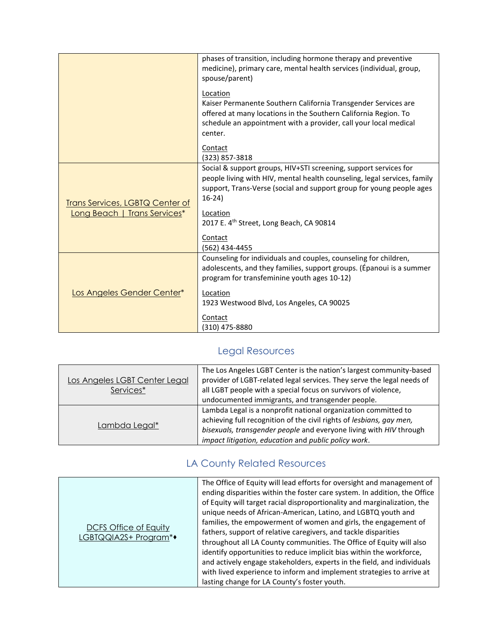|                                                                        | phases of transition, including hormone therapy and preventive<br>medicine), primary care, mental health services (individual, group,<br>spouse/parent)                                                                          |  |  |
|------------------------------------------------------------------------|----------------------------------------------------------------------------------------------------------------------------------------------------------------------------------------------------------------------------------|--|--|
|                                                                        | Location<br>Kaiser Permanente Southern California Transgender Services are<br>offered at many locations in the Southern California Region. To<br>schedule an appointment with a provider, call your local medical<br>center.     |  |  |
|                                                                        | Contact<br>(323) 857-3818                                                                                                                                                                                                        |  |  |
| <b>Trans Services, LGBTQ Center of</b><br>Long Beach   Trans Services* | Social & support groups, HIV+STI screening, support services for<br>people living with HIV, mental health counseling, legal services, family<br>support, Trans-Verse (social and support group for young people ages<br>$16-24)$ |  |  |
|                                                                        | Location<br>2017 E. 4 <sup>th</sup> Street, Long Beach, CA 90814                                                                                                                                                                 |  |  |
|                                                                        | Contact<br>(562) 434-4455                                                                                                                                                                                                        |  |  |
|                                                                        | Counseling for individuals and couples, counseling for children,<br>adolescents, and they families, support groups. (Épanoui is a summer<br>program for transfeminine youth ages 10-12)                                          |  |  |
| Los Angeles Gender Center*                                             | Location<br>1923 Westwood Blvd, Los Angeles, CA 90025                                                                                                                                                                            |  |  |
|                                                                        | Contact<br>(310) 475-8880                                                                                                                                                                                                        |  |  |

# Legal Resources

<span id="page-12-0"></span>

| Los Angeles LGBT Center Legal<br>Services* | The Los Angeles LGBT Center is the nation's largest community-based<br>provider of LGBT-related legal services. They serve the legal needs of<br>all LGBT people with a special focus on survivors of violence,<br>undocumented immigrants, and transgender people.  |
|--------------------------------------------|----------------------------------------------------------------------------------------------------------------------------------------------------------------------------------------------------------------------------------------------------------------------|
| Lambda Legal*                              | Lambda Legal is a nonprofit national organization committed to<br>achieving full recognition of the civil rights of lesbians, gay men,<br>bisexuals, transgender people and everyone living with HIV through<br>impact litigation, education and public policy work. |

# LA County Related Resources

<span id="page-12-1"></span>

| <b>DCFS Office of Equity</b><br>LGBTQQIA2S+ Program** | The Office of Equity will lead efforts for oversight and management of<br>ending disparities within the foster care system. In addition, the Office<br>of Equity will target racial disproportionality and marginalization, the<br>unique needs of African-American, Latino, and LGBTQ youth and<br>families, the empowerment of women and girls, the engagement of<br>fathers, support of relative caregivers, and tackle disparities<br>throughout all LA County communities. The Office of Equity will also<br>identify opportunities to reduce implicit bias within the workforce,<br>and actively engage stakeholders, experts in the field, and individuals<br>with lived experience to inform and implement strategies to arrive at<br>lasting change for LA County's foster youth. |
|-------------------------------------------------------|--------------------------------------------------------------------------------------------------------------------------------------------------------------------------------------------------------------------------------------------------------------------------------------------------------------------------------------------------------------------------------------------------------------------------------------------------------------------------------------------------------------------------------------------------------------------------------------------------------------------------------------------------------------------------------------------------------------------------------------------------------------------------------------------|
|-------------------------------------------------------|--------------------------------------------------------------------------------------------------------------------------------------------------------------------------------------------------------------------------------------------------------------------------------------------------------------------------------------------------------------------------------------------------------------------------------------------------------------------------------------------------------------------------------------------------------------------------------------------------------------------------------------------------------------------------------------------------------------------------------------------------------------------------------------------|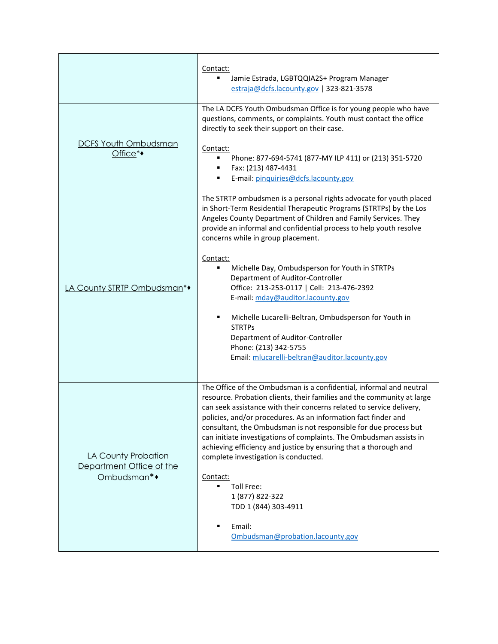|                                                                | Contact:<br>Jamie Estrada, LGBTQQIA2S+ Program Manager<br>٠<br>estraja@dcfs.lacounty.gov   323-821-3578                                                                                                                                                                                                                                                                                                                                                                                                                                                                                                                                                                                                   |  |  |
|----------------------------------------------------------------|-----------------------------------------------------------------------------------------------------------------------------------------------------------------------------------------------------------------------------------------------------------------------------------------------------------------------------------------------------------------------------------------------------------------------------------------------------------------------------------------------------------------------------------------------------------------------------------------------------------------------------------------------------------------------------------------------------------|--|--|
| DCFS Youth Ombudsman<br>Office*                                | The LA DCFS Youth Ombudsman Office is for young people who have<br>questions, comments, or complaints. Youth must contact the office<br>directly to seek their support on their case.<br>Contact:<br>Phone: 877-694-5741 (877-MY ILP 411) or (213) 351-5720<br>٠<br>Fax: (213) 487-4431<br>٠<br>E-mail: pinquiries@dcfs.lacounty.gov<br>٠                                                                                                                                                                                                                                                                                                                                                                 |  |  |
| LA County STRTP Ombudsman**                                    | The STRTP ombudsmen is a personal rights advocate for youth placed<br>in Short-Term Residential Therapeutic Programs (STRTPs) by the Los<br>Angeles County Department of Children and Family Services. They<br>provide an informal and confidential process to help youth resolve<br>concerns while in group placement.<br>Contact:<br>Michelle Day, Ombudsperson for Youth in STRTPs<br>Department of Auditor-Controller<br>Office: 213-253-0117   Cell: 213-476-2392<br>E-mail: mday@auditor.lacounty.gov<br>Michelle Lucarelli-Beltran, Ombudsperson for Youth in<br>٠<br><b>STRTPs</b><br>Department of Auditor-Controller<br>Phone: (213) 342-5755<br>Email: mlucarelli-beltran@auditor.lacounty.gov |  |  |
| LA County Probation<br>Department Office of the<br>Ombudsman** | The Office of the Ombudsman is a confidential, informal and neutral<br>resource. Probation clients, their families and the community at large<br>can seek assistance with their concerns related to service delivery,<br>policies, and/or procedures. As an information fact finder and<br>consultant, the Ombudsman is not responsible for due process but<br>can initiate investigations of complaints. The Ombudsman assists in<br>achieving efficiency and justice by ensuring that a thorough and<br>complete investigation is conducted.<br>Contact:<br>$\blacksquare$<br>Toll Free:<br>1 (877) 822-322<br>TDD 1 (844) 303-4911<br>Email:<br>٠<br>Ombudsman@probation.lacounty.gov                  |  |  |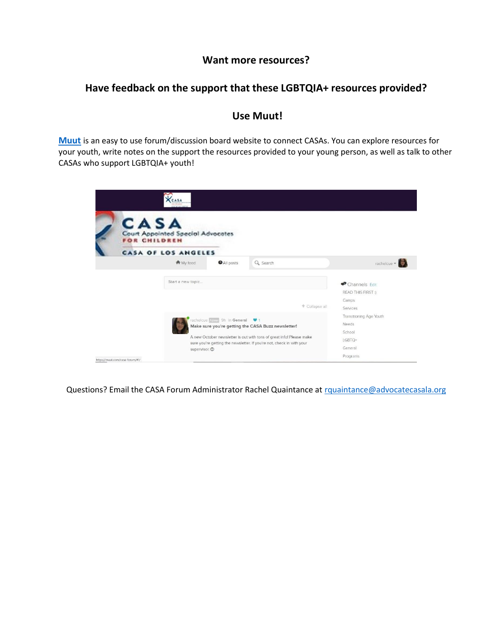# **Want more resources?**

# **Have feedback on the support that these LGBTQIA+ resources provided?**

# **Use Muut!**

**[Muut](https://www.muut.com/CASA-FORUM)** is an easy to use forum/discussion board website to connect CASAs. You can explore resources for your youth, write notes on the support the resources provided to your young person, as well as talk to other CASAs who support LGBTQIA+ youth!

| CASA                            | CASA<br>Court Appointed Special Advocates<br><b>R CHILDREN</b> |                                   |                                                                                                                                                                                                     |                                                                 |
|---------------------------------|----------------------------------------------------------------|-----------------------------------|-----------------------------------------------------------------------------------------------------------------------------------------------------------------------------------------------------|-----------------------------------------------------------------|
|                                 | <b>CASA OF LOS ANGELES</b>                                     |                                   |                                                                                                                                                                                                     |                                                                 |
|                                 | A My feed                                                      | <b>O</b> All posts                | Q Search                                                                                                                                                                                            | rachelcue $\blacktriangledown$                                  |
|                                 | Start a new topic                                              |                                   | ← Collapse all                                                                                                                                                                                      | Channels Edit<br><b>READ THIS FIRST:)</b><br>Camps<br>Services  |
|                                 | supervisor.                                                    | rachelcue Admin 9h In General ♥ 1 | Make sure you're getting the CASA Buzz newsletter!<br>A new October newsletter is out with tons of great info! Please make<br>sure you're getting the newsletter. If you're not, check in with your | Transitioning Age Youth<br>Needs<br>School<br>LGBTQ+<br>General |
| https://muut.com/casa-forum/#!/ |                                                                |                                   |                                                                                                                                                                                                     | Programs                                                        |

Questions? Email the CASA Forum Administrator Rachel Quaintance at [rquaintance@advocatecasala.org](mailto:rquaintance@advocatecasala.org)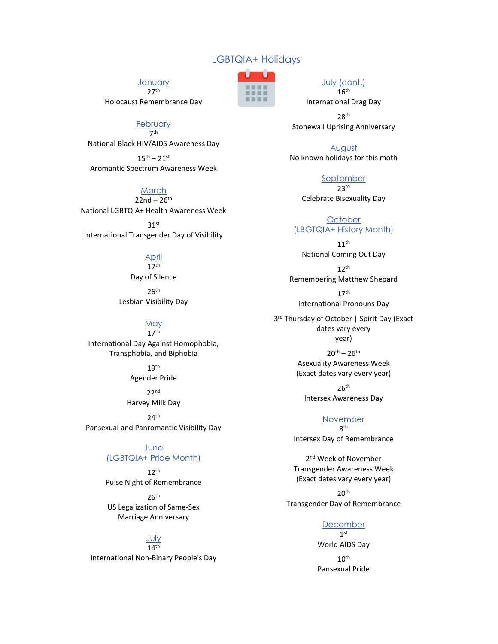## LGBTQIA+ Holidays

<span id="page-15-0"></span>**January**  $27<sup>th</sup>$ 



#### July (cont.)  $16<sup>th</sup>$

International Drag Day

 $28<sup>th</sup>$ Stonewall Uprising Anniversary

August No known holidays for this moth

> **September**  $23rd$ Celebrate Bisexuality Day

**October** (LBGTQIA+ History Month)

 $11^{\text{th}}$ National Coming Out Day

 $12^{th}$ Remembering Matthew Shepard

 $17<sup>th</sup>$ International Pronouns Day

3<sup>rd</sup> Thursday of October | Spirit Day (Exact dates vary every year)

> $20^{th} - 26^{th}$ Asexuality Awareness Week (Exact dates vary every year)

 $26<sup>th</sup>$ Intersex Awareness Day

## **November**

8 th Intersex Day of Remembrance

2<sup>nd</sup> Week of November Transgender Awareness Week (Exact dates vary every year)

20th Transgender Day of Remembrance

## **December**

1 st World AIDS Day  $10<sup>th</sup>$ Pansexual Pride

Holocaust Remembrance Day

# **February**

7 th National Black HIV/AIDS Awareness Day

 $15^{th} - 21^{st}$ Aromantic Spectrum Awareness Week

## **March**

 $22nd - 26^{th}$ National LGBTQIA+ Health Awareness Week

 $31<sup>st</sup>$ International Transgender Day of Visibility

# **April**

 $17<sup>th</sup>$ Day of Silence

 $26<sup>th</sup>$ Lesbian Visibility Day

# **May**

 $17<sup>th</sup>$ International Day Against Homophobia, Transphobia, and Biphobia

> 19th Agender Pride

22nd Harvey Milk Day

24th Pansexual and Panromantic Visibility Day

> June (LGBTQIA+ Pride Month)

 $12^{th}$ Pulse Night of Remembrance

 $26<sup>th</sup>$ US Legalization of Same-Sex Marriage Anniversary

# July

 $14<sup>th</sup>$ International Non-Binary People's Day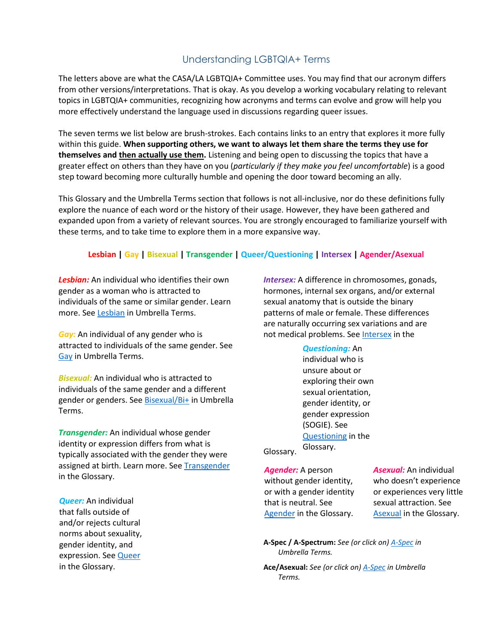# Understanding LGBTQIA+ Terms

<span id="page-16-0"></span>The letters above are what the CASA/LA LGBTQIA+ Committee uses. You may find that our acronym differs from other versions/interpretations. That is okay. As you develop a working vocabulary relating to relevant topics in LGBTQIA+ communities, recognizing how acronyms and terms can evolve and grow will help you more effectively understand the language used in discussions regarding queer issues.

The seven terms we list below are brush-strokes. Each contains links to an entry that explores it more fully within this guide. **When supporting others, we want to always let them share the terms they use for themselves and then actually use them.** Listening and being open to discussing the topics that have a greater effect on others than they have on you (*particularly if they make you feel uncomfortable*) is a good step toward becoming more culturally humble and opening the door toward becoming an ally.

This Glossary and the Umbrella Terms section that follows is not all-inclusive, nor do these definitions fully explore the nuance of each word or the history of their usage. However, they have been gathered and expanded upon from a variety of relevant sources. You are strongly encouraged to familiarize yourself with these terms, and to take time to explore them in a more expansive way.

## **Lesbian | Gay | Bisexual | Transgender | Queer/Questioning | Intersex | Agender/Asexual**

*Lesbian:* An individual who identifies their own gender as a woman who is attracted to individuals of the same or similar gender. Learn more. Se[e Lesbian](#page-28-0) in Umbrella Terms.

*Gay:* An individual of any gender who is attracted to individuals of the same gender. See [Gay](#page-27-0) in Umbrella Terms.

*Bisexual:* An individual who is attracted to individuals of the same gender and a different gender or genders. Se[e Bisexual/Bi+](#page-25-0) in Umbrella Terms.

*Transgender:* An individual whose gender identity or expression differs from what is typically associated with the gender they were assigned at birth. Learn more. Se[e Transgender](#page-21-0) in the Glossary.

*Queer:* An individual that falls outside of and/or rejects cultural norms about sexuality, gender identity, and expression. Se[e Queer](#page-20-1) in the Glossary.

*Intersex:* A difference in chromosomes, gonads, hormones, internal sex organs, and/or external sexual anatomy that is outside the binary patterns of male or female. These differences are naturally occurring sex variations and are not medical problems. See [Intersex](#page-20-0) in the

> *Questioning:* An individual who is unsure about or exploring their own sexual orientation, gender identity, or gender expression (SOGIE). See [Questioning](#page-21-1) in the Glossary.

Glossary.

## *Agender:* A person

without gender identity, or with a gender identity that is neutral. See [Agender](#page-17-0) in the Glossary.

*Asexual:* An individual who doesn't experience or experiences very little sexual attraction. See [Asexual](#page-16-1) in the Glossary.

**A-Spec / A-Spectrum:** *See (or click on[\) A-Spec](#page-24-0) in Umbrella Terms.*

<span id="page-16-1"></span>**Ace/Asexual:** *See (or click on[\) A-Spec](#page-24-0) in Umbrella Terms.*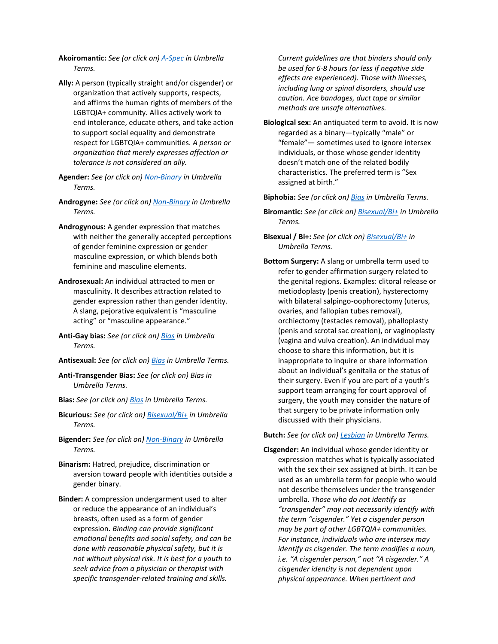- **Akoiromantic:** *See (or click on[\) A-Spec](#page-24-0) in Umbrella Terms.*
- **Ally:** A person (typically straight and/or cisgender) or organization that actively supports, respects, and affirms the human rights of members of the LGBTQIA+ community. Allies actively work to end intolerance, educate others, and take action to support social equality and demonstrate respect for LGBTQIA+ communities. *A person or organization that merely expresses affection or tolerance is not considered an ally.*
- <span id="page-17-0"></span>**Agender:** *See (or click on) [Non-Binary](#page-29-0) in Umbrella Terms.*
- **Androgyne:** *See (or click on) [Non-Binary](#page-29-0) in Umbrella Terms.*
- **Androgynous:** A gender expression that matches with neither the generally accepted perceptions of gender feminine expression or gender masculine expression, or which blends both feminine and masculine elements.
- **Androsexual:** An individual attracted to men or masculinity. It describes attraction related to gender expression rather than gender identity. A slang, pejorative equivalent is "masculine acting" or "masculine appearance."
- **Anti-Gay bias:** *See (or click on) [Bias](#page-26-0) in Umbrella Terms.*
- **Antisexual:** *See (or click on) [Bias](#page-26-0) in Umbrella Terms.*
- **Anti-Transgender Bias:** *See (or click on) Bias in Umbrella Terms.*
- **Bias:** *See (or click on[\) Bias](#page-26-0) in Umbrella Terms.*
- **Bicurious:** *See (or click on) [Bisexual/Bi+](#page-25-0) in Umbrella Terms.*
- **Bigender:** *See (or click on[\) Non-Binary](#page-29-0) in Umbrella Terms.*
- **Binarism:** Hatred, prejudice, discrimination or aversion toward people with identities outside a gender binary.
- **Binder:** A compression undergarment used to alter or reduce the appearance of an individual's breasts, often used as a form of gender expression. *Binding can provide significant emotional benefits and social safety, and can be done with reasonable physical safety, but it is not without physical risk. It is best for a youth to seek advice from a physician or therapist with specific transgender-related training and skills.*

*Current guidelines are that binders should only be used for 6-8 hours (or less if negative side effects are experienced). Those with illnesses, including lung or spinal disorders, should use caution. Ace bandages, duct tape or similar methods are unsafe alternatives.*

**Biological sex:** An antiquated term to avoid. It is now regarded as a binary—typically "male" or "female"— sometimes used to ignore intersex individuals, or those whose gender identity doesn't match one of the related bodily characteristics. The preferred term is "Sex assigned at birth."

**Biphobia:** *See (or click on[\) Bias](#page-26-0) in Umbrella Terms.*

- **Biromantic:** *See (or click on) [Bisexual/Bi+](#page-25-0) in Umbrella Terms.*
- **Bisexual / Bi+:** *See (or click on) [Bisexual/Bi+](#page-25-0) in Umbrella Terms.*
- **Bottom Surgery:** A slang or umbrella term used to refer to gender affirmation surgery related to the genital regions. Examples: clitoral release or metiodoplasty (penis creation), hysterectomy with bilateral salpingo-oophorectomy (uterus, ovaries, and fallopian tubes removal), orchiectomy (testacles removal), phalloplasty (penis and scrotal sac creation), or vaginoplasty (vagina and vulva creation). An individual may choose to share this information, but it is inappropriate to inquire or share information about an individual's genitalia or the status of their surgery. Even if you are part of a youth's support team arranging for court approval of surgery, the youth may consider the nature of that surgery to be private information only discussed with their physicians.

**Butch:** *See (or click on[\) Lesbian](#page-28-0) in Umbrella Terms.*

**Cisgender:** An individual whose gender identity or expression matches what is typically associated with the sex their sex assigned at birth. It can be used as an umbrella term for people who would not describe themselves under the transgender umbrella. *Those who do not identify as "transgender" may not necessarily identify with the term "cisgender." Yet a cisgender person may be part of other LGBTQIA+ communities. For instance, individuals who are intersex may identify as cisgender. The term modifies a noun, i.e. "A cisgender person," not "A cisgender." A cisgender identity is not dependent upon physical appearance. When pertinent and*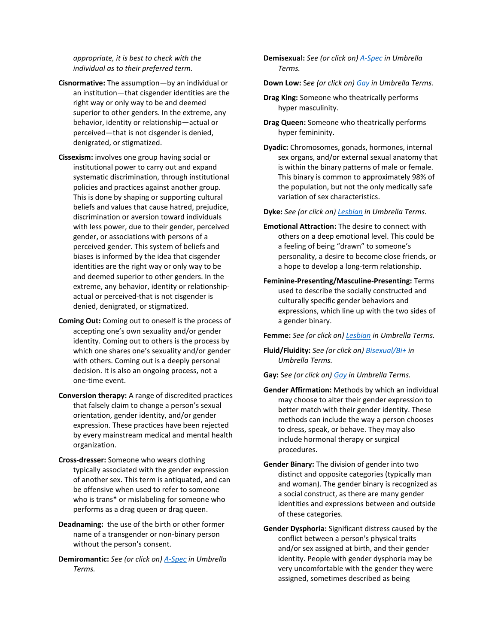*appropriate, it is best to check with the individual as to their preferred term.*

- **Cisnormative:** The assumption—by an individual or an institution—that cisgender identities are the right way or only way to be and deemed superior to other genders. In the extreme, any behavior, identity or relationship—actual or perceived—that is not cisgender is denied, denigrated, or stigmatized.
- **Cissexism:** involves one group having social or institutional power to carry out and expand systematic discrimination, through institutional policies and practices against another group. This is done by shaping or supporting cultural beliefs and values that cause hatred, prejudice, discrimination or aversion toward individuals with less power, due to their gender, perceived gender, or associations with persons of a perceived gender. This system of beliefs and biases is informed by the idea that cisgender identities are the right way or only way to be and deemed superior to other genders. In the extreme, any behavior, identity or relationshipactual or perceived-that is not cisgender is denied, denigrated, or stigmatized.
- **Coming Out:** Coming out to oneself is the process of accepting one's own sexuality and/or gender identity. Coming out to others is the process by which one shares one's sexuality and/or gender with others. Coming out is a deeply personal decision. It is also an ongoing process, not a one-time event.
- **Conversion therapy:** A range of discredited practices that falsely claim to change a person's sexual orientation, gender identity, and/or gender expression. These practices have been rejected by every mainstream medical and mental health organization.
- **Cross-dresser:** Someone who wears clothing typically associated with the gender expression of another sex. This term is antiquated, and can be offensive when used to refer to someone who is trans\* or mislabeling for someone who performs as a drag queen or drag queen.
- **Deadnaming:** the use of the birth or other former name of a transgender or non-binary person without the person's consent.
- **Demiromantic:** *See (or click on) [A-Spec](#page-24-0) in Umbrella Terms.*
- **Demisexual:** *See (or click on) [A-Spec](#page-24-0) in Umbrella Terms.*
- **Down Low:** S*ee (or click on[\) Gay](#page-27-0) in Umbrella Terms.*
- **Drag King:** Someone who theatrically performs hyper masculinity.
- **Drag Queen:** Someone who theatrically performs hyper femininity.
- **Dyadic:** Chromosomes, gonads, hormones, internal sex organs, and/or external sexual anatomy that is within the binary patterns of male or female. This binary is common to approximately 98% of the population, but not the only medically safe variation of sex characteristics.

**Dyke:** *See (or click on[\) Lesbian](#page-28-0) in Umbrella Terms.*

- **Emotional Attraction:** The desire to connect with others on a deep emotional level. This could be a feeling of being "drawn" to someone's personality, a desire to become close friends, or a hope to develop a long-term relationship.
- **Feminine-Presenting/Masculine-Presenting:** Terms used to describe the socially constructed and culturally specific gender behaviors and expressions, which line up with the two sides of a gender binary.

**Femme:** *See (or click on[\) Lesbian](#page-28-0) in Umbrella Terms.*

**Fluid/Fluidity:** *See (or click on) [Bisexual/Bi+](#page-25-0) in Umbrella Terms.*

**Gay:** S*ee (or click on[\) Gay](#page-27-0) in Umbrella Terms.*

- **Gender Affirmation:** Methods by which an individual may choose to alter their gender expression to better match with their gender identity. These methods can include the way a person chooses to dress, speak, or behave. They may also include hormonal therapy or surgical procedures.
- **Gender Binary:** The division of gender into two distinct and opposite categories (typically man and woman). The gender binary is recognized as a social construct, as there are many gender identities and expressions between and outside of these categories.
- **Gender Dysphoria:** Significant distress caused by the conflict between a person's physical traits and/or sex assigned at birth, and their gender identity. People with gender dysphoria may be very uncomfortable with the gender they were assigned, sometimes described as being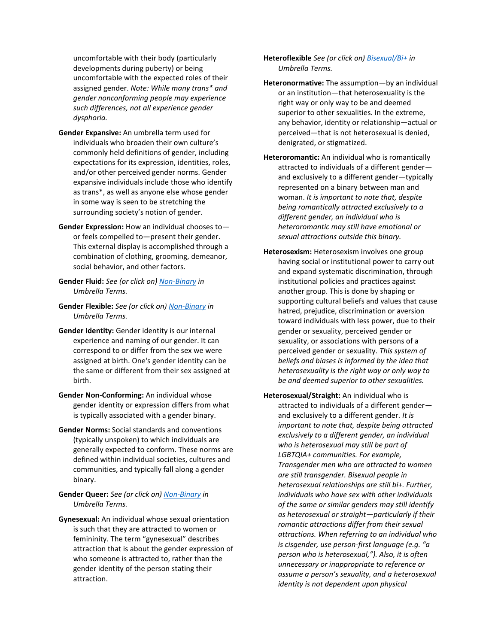uncomfortable with their body (particularly developments during puberty) or being uncomfortable with the expected roles of their assigned gender. *Note: While many trans\* and gender nonconforming people may experience such differences, not all experience gender dysphoria.* 

- **Gender Expansive:** An umbrella term used for individuals who broaden their own culture's commonly held definitions of gender, including expectations for its expression, identities, roles, and/or other perceived gender norms. Gender expansive individuals include those who identify as trans\*, as well as anyone else whose gender in some way is seen to be stretching the surrounding society's notion of gender.
- **Gender Expression:** How an individual chooses to or feels compelled to—present their gender. This external display is accomplished through a combination of clothing, grooming, demeanor, social behavior, and other factors.
- **Gender Fluid:** *See (or click on[\) Non-Binary](#page-29-0) in Umbrella Terms.*
- **Gender Flexible:** *See (or click on[\) Non-Binary](#page-29-0) in Umbrella Terms.*
- **Gender Identity:** Gender identity is our internal experience and naming of our gender. It can correspond to or differ from the sex we were assigned at birth. One's gender identity can be the same or different from their sex assigned at birth.
- **Gender Non-Conforming:** An individual whose gender identity or expression differs from what is typically associated with a gender binary.
- **Gender Norms:** Social standards and conventions (typically unspoken) to which individuals are generally expected to conform. These norms are defined within individual societies, cultures and communities, and typically fall along a gender binary.

## **Gender Queer:** *See (or click on[\) Non-Binary](#page-29-0) in Umbrella Terms.*

**Gynesexual:** An individual whose sexual orientation is such that they are attracted to women or femininity. The term "gynesexual" describes attraction that is about the gender expression of who someone is attracted to, rather than the gender identity of the person stating their attraction.

## **Heteroflexible** *See (or click on) [Bisexual/Bi+](#page-25-0) in Umbrella Terms.*

- **Heteronormative:** The assumption—by an individual or an institution—that heterosexuality is the right way or only way to be and deemed superior to other sexualities. In the extreme, any behavior, identity or relationship—actual or perceived—that is not heterosexual is denied, denigrated, or stigmatized.
- **Heteroromantic:** An individual who is romantically attracted to individuals of a different gender and exclusively to a different gender—typically represented on a binary between man and woman. *It is important to note that, despite being romantically attracted exclusively to a different gender, an individual who is heteroromantic may still have emotional or sexual attractions outside this binary.*
- **Heterosexism:** Heterosexism involves one group having social or institutional power to carry out and expand systematic discrimination, through institutional policies and practices against another group. This is done by shaping or supporting cultural beliefs and values that cause hatred, prejudice, discrimination or aversion toward individuals with less power, due to their gender or sexuality, perceived gender or sexuality, or associations with persons of a perceived gender or sexuality. *This system of beliefs and biases is informed by the idea that heterosexuality is the right way or only way to be and deemed superior to other sexualities.*
- **Heterosexual/Straight:** An individual who is attracted to individuals of a different gender and exclusively to a different gender. *It is important to note that, despite being attracted exclusively to a different gender, an individual who is heterosexual may still be part of LGBTQIA+ communities. For example, Transgender men who are attracted to women are still transgender. Bisexual people in heterosexual relationships are still bi+. Further, individuals who have sex with other individuals of the same or similar genders may still identify as heterosexual or straight—particularly if their romantic attractions differ from their sexual attractions. When referring to an individual who is cisgender, use person-first language (e.g. "a person who is heterosexual,"). Also, it is often unnecessary or inappropriate to reference or assume a person's sexuality, and a heterosexual identity is not dependent upon physical*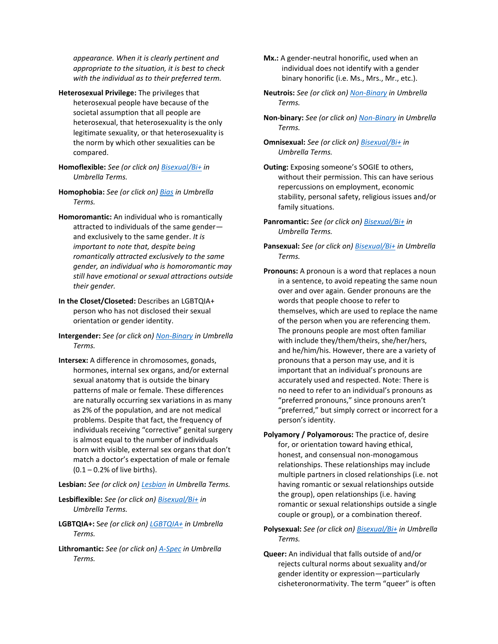*appearance. When it is clearly pertinent and appropriate to the situation, it is best to check with the individual as to their preferred term.*

- **Heterosexual Privilege:** The privileges that heterosexual people have because of the societal assumption that all people are heterosexual, that heterosexuality is the only legitimate sexuality, or that heterosexuality is the norm by which other sexualities can be compared.
- **Homoflexible:** *See (or click on) [Bisexual/Bi+](#page-25-0) in Umbrella Terms.*
- **Homophobia:** *See (or click on[\) Bias](#page-26-0) in Umbrella Terms.*
- **Homoromantic:** An individual who is romantically attracted to individuals of the same gender and exclusively to the same gender. *It is important to note that, despite being romantically attracted exclusively to the same gender, an individual who is homoromantic may still have emotional or sexual attractions outside their gender.*
- **In the Closet/Closeted:** Describes an LGBTQIA+ person who has not disclosed their sexual orientation or gender identity.
- **Intergender:** *See (or click on[\) Non-Binary](#page-29-0) in Umbrella Terms.*
- <span id="page-20-0"></span>**Intersex:** A difference in chromosomes, gonads, hormones, internal sex organs, and/or external sexual anatomy that is outside the binary patterns of male or female. These differences are naturally occurring sex variations in as many as 2% of the population, and are not medical problems. Despite that fact, the frequency of individuals receiving "corrective" genital surgery is almost equal to the number of individuals born with visible, external sex organs that don't match a doctor's expectation of male or female  $(0.1 - 0.2\% \text{ of live births}).$

**Lesbian:** *See (or click on) [Lesbian](#page-28-0) in Umbrella Terms.*

- **Lesbiflexible:** *See (or click on) [Bisexual/Bi+](#page-25-0) in Umbrella Terms.*
- **LGBTQIA+:** S*ee (or click on[\) LGBTQIA+](#page-30-0) in Umbrella Terms.*
- **Lithromantic:** *See (or click on[\) A-Spec](#page-24-0) in Umbrella Terms.*
- **Mx.:** A gender-neutral honorific, used when an individual does not identify with a gender binary honorific (i.e. Ms., Mrs., Mr., etc.).
- **Neutrois:** *See (or click on[\) Non-Binary](#page-29-0) in Umbrella Terms.*
- **Non-binary:** *See (or click on[\) Non-Binary](#page-29-0) in Umbrella Terms.*
- **Omnisexual:** *See (or click on[\) Bisexual/Bi+](#page-25-0) in Umbrella Terms.*
- **Outing:** Exposing someone's SOGIE to others, without their permission. This can have serious repercussions on employment, economic stability, personal safety, religious issues and/or family situations.
- **Panromantic:** *See (or click on[\) Bisexual/Bi+](#page-25-0) in Umbrella Terms.*
- **Pansexual:** *See (or click on[\) Bisexual/Bi+](#page-25-0) in Umbrella Terms.*
- **Pronouns:** A pronoun is a word that replaces a noun in a sentence, to avoid repeating the same noun over and over again. Gender pronouns are the words that people choose to refer to themselves, which are used to replace the name of the person when you are referencing them. The pronouns people are most often familiar with include they/them/theirs, she/her/hers, and he/him/his. However, there are a variety of pronouns that a person may use, and it is important that an individual's pronouns are accurately used and respected. Note: There is no need to refer to an individual's pronouns as "preferred pronouns," since pronouns aren't "preferred," but simply correct or incorrect for a person's identity.
- **Polyamory / Polyamorous:** The practice of, desire for, or orientation toward having ethical, honest, and consensual non-monogamous relationships. These relationships may include multiple partners in closed relationships (i.e. not having romantic or sexual relationships outside the group), open relationships (i.e. having romantic or sexual relationships outside a single couple or group), or a combination thereof.
- **Polysexual:** *See (or click on) [Bisexual/Bi+](#page-25-0) in Umbrella Terms.*
- <span id="page-20-1"></span>**Queer:** An individual that falls outside of and/or rejects cultural norms about sexuality and/or gender identity or expression—particularly cisheteronormativity. The term "queer" is often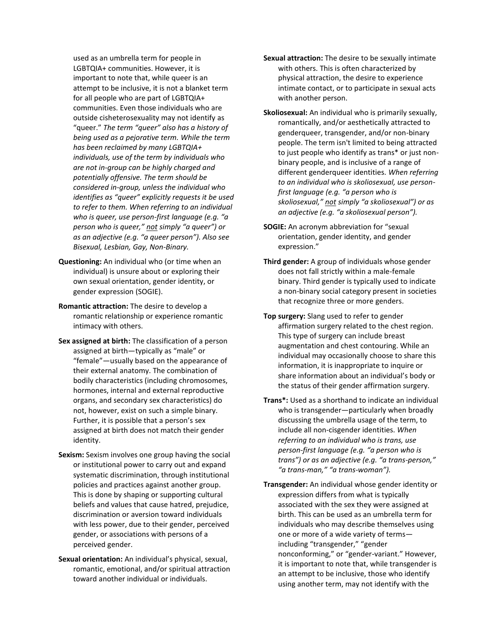used as an umbrella term for people in LGBTQIA+ communities. However, it is important to note that, while queer is an attempt to be inclusive, it is not a blanket term for all people who are part of LGBTQIA+ communities. Even those individuals who are outside cisheterosexuality may not identify as "queer." *The term "queer" also has a history of being used as a pejorative term. While the term has been reclaimed by many LGBTQIA+ individuals, use of the term by individuals who are not in-group can be highly charged and potentially offensive. The term should be considered in-group, unless the individual who identifies as "queer" explicitly requests it be used to refer to them. When referring to an individual who is queer, use person-first language (e.g. "a person who is queer," not simply "a queer") or as an adjective (e.g. "a queer person"). Also see Bisexual, Lesbian, Gay, Non-Binary.*

- <span id="page-21-1"></span>**Questioning:** An individual who (or time when an individual) is unsure about or exploring their own sexual orientation, gender identity, or gender expression (SOGIE).
- **Romantic attraction:** The desire to develop a romantic relationship or experience romantic intimacy with others.
- **Sex assigned at birth:** The classification of a person assigned at birth—typically as "male" or "female"—usually based on the appearance of their external anatomy. The combination of bodily characteristics (including chromosomes, hormones, internal and external reproductive organs, and secondary sex characteristics) do not, however, exist on such a simple binary. Further, it is possible that a person's sex assigned at birth does not match their gender identity.
- **Sexism:** Sexism involves one group having the social or institutional power to carry out and expand systematic discrimination, through institutional policies and practices against another group. This is done by shaping or supporting cultural beliefs and values that cause hatred, prejudice, discrimination or aversion toward individuals with less power, due to their gender, perceived gender, or associations with persons of a perceived gender.
- **Sexual orientation:** An individual's physical, sexual, romantic, emotional, and/or spiritual attraction toward another individual or individuals.
- **Sexual attraction:** The desire to be sexually intimate with others. This is often characterized by physical attraction, the desire to experience intimate contact, or to participate in sexual acts with another person.
- **Skoliosexual:** An individual who is primarily sexually, romantically, and/or aesthetically attracted to genderqueer, transgender, and/or non-binary people. The term isn't limited to being attracted to just people who identify as trans\* or just nonbinary people, and is inclusive of a range of different genderqueer identities. *When referring to an individual who is skoliosexual, use personfirst language (e.g. "a person who is skoliosexual," not simply "a skoliosexual") or as an adjective (e.g. "a skoliosexual person").*
- **SOGIE:** An acronym abbreviation for "sexual orientation, gender identity, and gender expression."
- **Third gender:** A group of individuals whose gender does not fall strictly within a male-female binary. Third gender is typically used to indicate a non-binary social category present in societies that recognize three or more genders.
- **Top surgery:** Slang used to refer to gender affirmation surgery related to the chest region. This type of surgery can include breast augmentation and chest contouring. While an individual may occasionally choose to share this information, it is inappropriate to inquire or share information about an individual's body or the status of their gender affirmation surgery.
- **Trans\*:** Used as a shorthand to indicate an individual who is transgender—particularly when broadly discussing the umbrella usage of the term, to include all non-cisgender identities. *When referring to an individual who is trans, use person-first language (e.g. "a person who is trans") or as an adjective (e.g. "a trans-person," "a trans-man," "a trans-woman").*
- <span id="page-21-0"></span>**Transgender:** An individual whose gender identity or expression differs from what is typically associated with the sex they were assigned at birth. This can be used as an umbrella term for individuals who may describe themselves using one or more of a wide variety of terms including "transgender," "gender nonconforming," or "gender-variant." However, it is important to note that, while transgender is an attempt to be inclusive, those who identify using another term, may not identify with the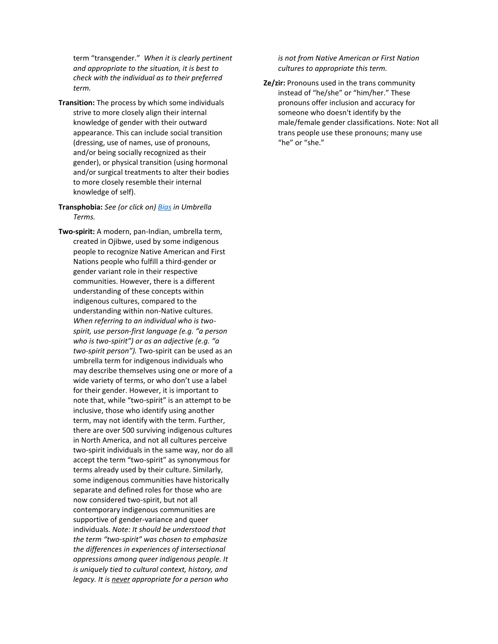term "transgender." *When it is clearly pertinent and appropriate to the situation, it is best to check with the individual as to their preferred term.* 

- **Transition:** The process by which some individuals strive to more closely align their internal knowledge of gender with their outward appearance. This can include social transition (dressing, use of names, use of pronouns, and/or being socially recognized as their gender), or physical transition (using hormonal and/or surgical treatments to alter their bodies to more closely resemble their internal knowledge of self).
- **Transphobia:** *See (or click on) [Bias](#page-25-0) in Umbrella Terms.*
- **Two-spirit:** A modern, pan-Indian, umbrella term, created in Ojibwe, used by some indigenous people to recognize Native American and First Nations people who fulfill a third-gender or gender variant role in their respective communities. However, there is a different understanding of these concepts within indigenous cultures, compared to the understanding within non-Native cultures. *When referring to an individual who is twospirit, use person-first language (e.g. "a person who is two-spirit") or as an adjective (e.g. "a two-spirit person").* Two-spirit can be used as an umbrella term for indigenous individuals who may describe themselves using one or more of a wide variety of terms, or who don't use a label for their gender. However, it is important to note that, while "two-spirit" is an attempt to be inclusive, those who identify using another term, may not identify with the term. Further, there are over 500 surviving indigenous cultures in North America, and not all cultures perceive two-spirit individuals in the same way, nor do all accept the term "two-spirit" as synonymous for terms already used by their culture. Similarly, some indigenous communities have historically separate and defined roles for those who are now considered two-spirit, but not all contemporary indigenous communities are supportive of gender-variance and queer individuals. *Note: It should be understood that the term "two-spirit" was chosen to emphasize the differences in experiences of intersectional oppressions among queer indigenous people. It is uniquely tied to cultural context, history, and legacy. It is never appropriate for a person who*

*is not from Native American or First Nation cultures to appropriate this term.*

**Ze/zir:** Pronouns used in the trans community instead of "he/she" or "him/her." These pronouns offer inclusion and accuracy for someone who doesn't identify by the male/female gender classifications. Note: Not all trans people use these pronouns; many use "he" or "she."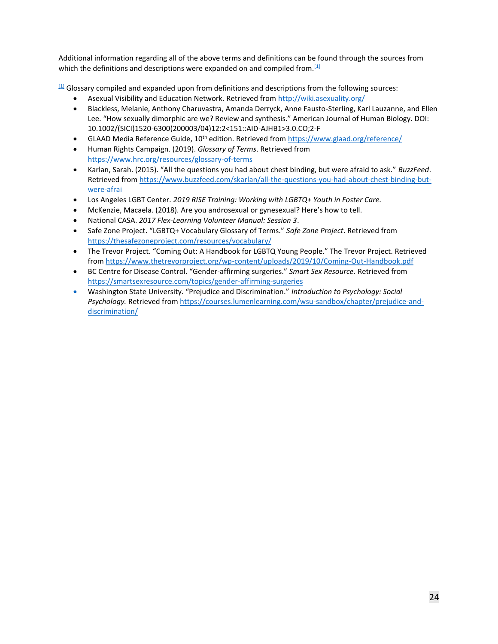Additional information regarding all of the above terms and definitions can be found through the sources from which the definitions and descriptions were expanded on and compiled from.<sup>[\[1\]](https://word-edit.officeapps.live.com/we/wordeditorframe.aspx?ui=en%2DUS&rs=en%2DUS&wopisrc=https%3A%2F%2Fcasaofla.sharepoint.com%2FAdvocacy%2F_vti_bin%2Fwopi.ashx%2Ffiles%2F6a39a69a6fad4b939cf4beffcf921578&wdenableroaming=1&mscc=1&hid=0D91C79F-8048-C000-1297-B36D29FC2DD2&wdorigin=ItemsView&wdhostclicktime=1620928887798&jsapi=1&jsapiver=v1&newsession=1&corrid=c33ae4a8-0c71-4b65-9641-490c1c3b9e2f&usid=c33ae4a8-0c71-4b65-9641-490c1c3b9e2f&sftc=1&mtf=1&sfp=1&instantedit=1&wopicomplete=1&wdredirectionreason=Unified_SingleFlush&rct=Medium&ctp=LeastProtected#_ftn1)</sup>

 $\Box$  Glossary compiled and expanded upon from definitions and descriptions from the following sources:

- Asexual Visibility and Education Network. Retrieved from<http://wiki.asexuality.org/>
- Blackless, Melanie, Anthony Charuvastra, Amanda Derryck, Anne Fausto-Sterling, Karl Lauzanne, and Ellen Lee. "How sexually dimorphic are we? Review and synthesis." American Journal of Human Biology. DOI: 10.1002/(SICI)1520-6300(200003/04)12:2<151::AID-AJHB1>3.0.CO;2-F
- GLAAD Media Reference Guide, 10<sup>th</sup> edition. Retrieved from<https://www.glaad.org/reference/>
- Human Rights Campaign. (2019). *Glossary of Terms*. Retrieved from <https://www.hrc.org/resources/glossary-of-terms>
- Karlan, Sarah. (2015). "All the questions you had about chest binding, but were afraid to ask." *BuzzFeed*. Retrieved fro[m https://www.buzzfeed.com/skarlan/all-the-questions-you-had-about-chest-binding-but](https://www.buzzfeed.com/skarlan/all-the-questions-you-had-about-chest-binding-but-were-afrai)[were-afrai](https://www.buzzfeed.com/skarlan/all-the-questions-you-had-about-chest-binding-but-were-afrai)
- Los Angeles LGBT Center. *2019 RISE Training: Working with LGBTQ+ Youth in Foster Care.*
- McKenzie, Macaela. (2018). Are you androsexual or gynesexual? Here's how to tell.
- National CASA. *2017 Flex-Learning Volunteer Manual: Session 3*.
- Safe Zone Project. "LGBTQ+ Vocabulary Glossary of Terms." *Safe Zone Project*. Retrieved from <https://thesafezoneproject.com/resources/vocabulary/>
- The Trevor Project. "Coming Out: A Handbook for LGBTQ Young People." The Trevor Project. Retrieved from<https://www.thetrevorproject.org/wp-content/uploads/2019/10/Coming-Out-Handbook.pdf>
- BC Centre for Disease Control. "Gender-affirming surgeries." *Smart Sex Resource.* Retrieved from <https://smartsexresource.com/topics/gender-affirming-surgeries>
- Washington State University. "Prejudice and Discrimination." *Introduction to Psychology: Social Psychology.* Retrieved fro[m https://courses.lumenlearning.com/wsu-sandbox/chapter/prejudice-and](https://courses.lumenlearning.com/wsu-sandbox/chapter/prejudice-and-discrimination/)[discrimination/](https://courses.lumenlearning.com/wsu-sandbox/chapter/prejudice-and-discrimination/)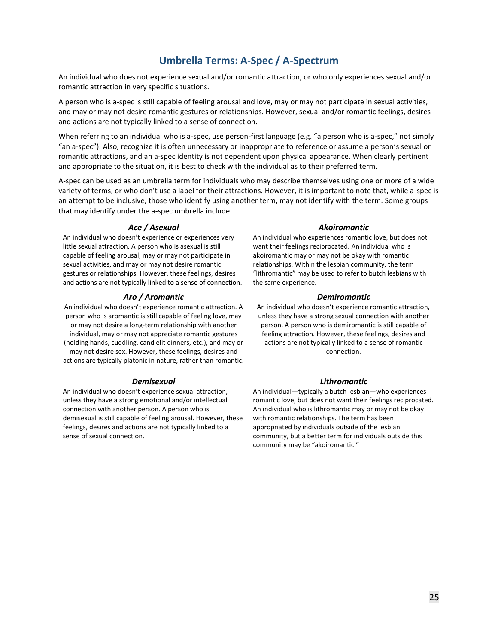# <span id="page-24-0"></span>**Umbrella Terms: A-Spec / A-Spectrum**

An individual who does not experience sexual and/or romantic attraction, or who only experiences sexual and/or romantic attraction in very specific situations.

A person who is a-spec is still capable of feeling arousal and love, may or may not participate in sexual activities, and may or may not desire romantic gestures or relationships. However, sexual and/or romantic feelings, desires and actions are not typically linked to a sense of connection.

When referring to an individual who is a-spec, use person-first language (e.g. "a person who is a-spec," not simply "an a-spec"). Also, recognize it is often unnecessary or inappropriate to reference or assume a person's sexual or romantic attractions, and an a-spec identity is not dependent upon physical appearance. When clearly pertinent and appropriate to the situation, it is best to check with the individual as to their preferred term.

A-spec can be used as an umbrella term for individuals who may describe themselves using one or more of a wide variety of terms, or who don't use a label for their attractions. However, it is important to note that, while a-spec is an attempt to be inclusive, those who identify using another term, may not identify with the term. Some groups that may identify under the a-spec umbrella include:

## *Ace / Asexual*

An individual who doesn't experience or experiences very little sexual attraction. A person who is asexual is still capable of feeling arousal, may or may not participate in sexual activities, and may or may not desire romantic gestures or relationships. However, these feelings, desires and actions are not typically linked to a sense of connection.

## *Aro / Aromantic*

An individual who doesn't experience romantic attraction. A person who is aromantic is still capable of feeling love, may or may not desire a long-term relationship with another individual, may or may not appreciate romantic gestures (holding hands, cuddling, candlelit dinners, etc.), and may or may not desire sex. However, these feelings, desires and actions are typically platonic in nature, rather than romantic.

## *Demisexual*

An individual who doesn't experience sexual attraction, unless they have a strong emotional and/or intellectual connection with another person. A person who is demisexual is still capable of feeling arousal. However, these feelings, desires and actions are not typically linked to a sense of sexual connection.

#### *Akoiromantic*

An individual who experiences romantic love, but does not want their feelings reciprocated. An individual who is akoiromantic may or may not be okay with romantic relationships. Within the lesbian community, the term "lithromantic" may be used to refer to butch lesbians with the same experience.

#### *Demiromantic*

An individual who doesn't experience romantic attraction, unless they have a strong sexual connection with another person. A person who is demiromantic is still capable of feeling attraction. However, these feelings, desires and actions are not typically linked to a sense of romantic connection.

## *Lithromantic*

An individual—typically a butch lesbian—who experiences romantic love, but does not want their feelings reciprocated. An individual who is lithromantic may or may not be okay with romantic relationships. The term has been appropriated by individuals outside of the lesbian community, but a better term for individuals outside this community may be "akoiromantic."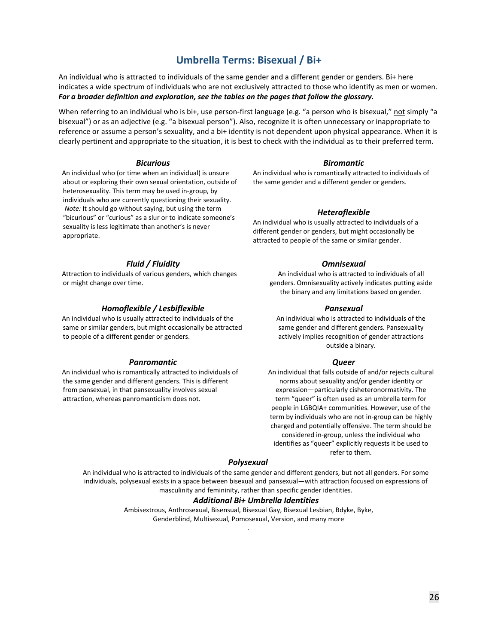# <span id="page-25-0"></span>**Umbrella Terms: Bisexual / Bi+**

An individual who is attracted to individuals of the same gender and a different gender or genders. Bi+ here indicates a wide spectrum of individuals who are not exclusively attracted to those who identify as men or women. *For a broader definition and exploration, see the tables on the pages that follow the glossary.*

When referring to an individual who is bi+, use person-first language (e.g. "a person who is bisexual," not simply "a bisexual") or as an adjective (e.g. "a bisexual person"). Also, recognize it is often unnecessary or inappropriate to reference or assume a person's sexuality, and a bi+ identity is not dependent upon physical appearance. When it is clearly pertinent and appropriate to the situation, it is best to check with the individual as to their preferred term.

#### *Bicurious*

An individual who (or time when an individual) is unsure about or exploring their own sexual orientation, outside of heterosexuality. This term may be used in-group, by individuals who are currently questioning their sexuality. *Note:* It should go without saying, but using the term "bicurious" or "curious" as a slur or to indicate someone's sexuality is less legitimate than another's is never appropriate.

## *Fluid / Fluidity*

Attraction to individuals of various genders, which changes or might change over time.

#### *Homoflexible / Lesbiflexible*

An individual who is usually attracted to individuals of the same or similar genders, but might occasionally be attracted to people of a different gender or genders.

#### *Panromantic*

An individual who is romantically attracted to individuals of the same gender and different genders. This is different from pansexual, in that pansexuality involves sexual attraction, whereas panromanticism does not.

#### *Biromantic*

An individual who is romantically attracted to individuals of the same gender and a different gender or genders.

#### *Heteroflexible*

An individual who is usually attracted to individuals of a different gender or genders, but might occasionally be attracted to people of the same or similar gender.

## *Omnisexual*

An individual who is attracted to individuals of all genders. Omnisexuality actively indicates putting aside the binary and any limitations based on gender.

#### *Pansexual*

An individual who is attracted to individuals of the same gender and different genders. Pansexuality actively implies recognition of gender attractions outside a binary.

#### *Queer*

An individual that falls outside of and/or rejects cultural norms about sexuality and/or gender identity or expression—particularly cisheteronormativity. The term "queer" is often used as an umbrella term for people in LGBQIA+ communities. However, use of the term by individuals who are not in-group can be highly charged and potentially offensive. The term should be considered in-group, unless the individual who identifies as "queer" explicitly requests it be used to refer to them.

#### *Polysexual*

An individual who is attracted to individuals of the same gender and different genders, but not all genders. For some individuals, polysexual exists in a space between bisexual and pansexual—with attraction focused on expressions of masculinity and femininity, rather than specific gender identities.

#### *Additional Bi+ Umbrella Identities*

Ambisextrous, Anthrosexual, Bisensual, Bisexual Gay, Bisexual Lesbian, Bdyke, Byke, Genderblind, Multisexual, Pomosexual, Version, and many more .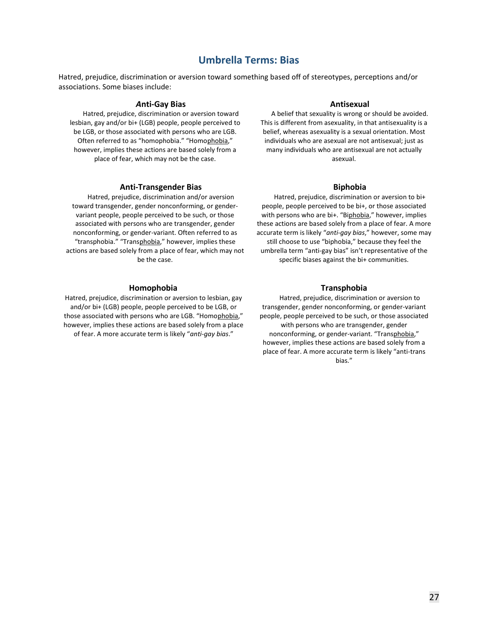# **Umbrella Terms: Bias**

Hatred, prejudice, discrimination or aversion toward something based off of stereotypes, perceptions and/or associations. Some biases include:

#### *A***nti-Gay Bias**

Hatred, prejudice, discrimination or aversion toward lesbian, gay and/or bi+ (LGB) people, people perceived to be LGB, or those associated with persons who are LGB. Often referred to as "homophobia." "Homophobia," however, implies these actions are based solely from a place of fear, which may not be the case.

## **Anti-Transgender Bias**

Hatred, prejudice, discrimination and/or aversion toward transgender, gender nonconforming, or gendervariant people, people perceived to be such, or those associated with persons who are transgender, gender nonconforming, or gender-variant. Often referred to as "transphobia." "Transphobia," however, implies these actions are based solely from a place of fear, which may not be the case.

#### **Homophobia**

Hatred, prejudice, discrimination or aversion to lesbian, gay and/or bi+ (LGB) people, people perceived to be LGB, or those associated with persons who are LGB. "Homophobia," however, implies these actions are based solely from a place of fear. A more accurate term is likely "*anti-gay bias*."

#### **Antisexual**

<span id="page-26-0"></span>A belief that sexuality is wrong or should be avoided. This is different from asexuality, in that antisexuality is a belief, whereas asexuality is a sexual orientation. Most individuals who are asexual are not antisexual; just as many individuals who are antisexual are not actually asexual.

#### **Biphobia**

Hatred, prejudice, discrimination or aversion to bi+ people, people perceived to be bi+, or those associated with persons who are bi+. "Biphobia," however, implies these actions are based solely from a place of fear. A more accurate term is likely "*anti-gay bias*," however, some may still choose to use "biphobia," because they feel the umbrella term "anti-gay bias" isn't representative of the specific biases against the bi+ communities.

#### **Transphobia**

Hatred, prejudice, discrimination or aversion to transgender, gender nonconforming, or gender-variant people, people perceived to be such, or those associated with persons who are transgender, gender nonconforming, or gender-variant. "Transphobia," however, implies these actions are based solely from a place of fear. A more accurate term is likely "anti-trans bias."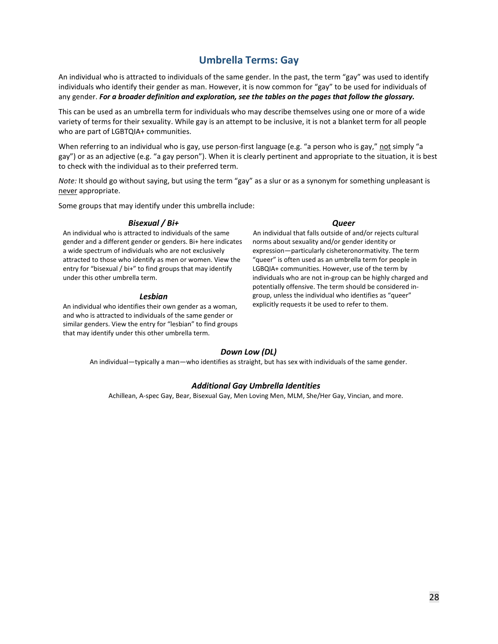# <span id="page-27-0"></span>**Umbrella Terms: Gay**

An individual who is attracted to individuals of the same gender. In the past, the term "gay" was used to identify individuals who identify their gender as man. However, it is now common for "gay" to be used for individuals of any gender. *For a broader definition and exploration, see the tables on the pages that follow the glossary.*

This can be used as an umbrella term for individuals who may describe themselves using one or more of a wide variety of terms for their sexuality. While gay is an attempt to be inclusive, it is not a blanket term for all people who are part of LGBTQIA+ communities.

When referring to an individual who is gay, use person-first language (e.g. "a person who is gay," not simply "a gay") or as an adjective (e.g. "a gay person"). When it is clearly pertinent and appropriate to the situation, it is best to check with the individual as to their preferred term.

*Note:* It should go without saying, but using the term "gay" as a slur or as a synonym for something unpleasant is never appropriate.

Some groups that may identify under this umbrella include:

## *Bisexual / Bi+*

An individual who is attracted to individuals of the same gender and a different gender or genders. Bi+ here indicates a wide spectrum of individuals who are not exclusively attracted to those who identify as men or women. View the entry for "bisexual / bi+" to find groups that may identify under this other umbrella term.

## *Lesbian*

An individual who identifies their own gender as a woman, and who is attracted to individuals of the same gender or similar genders. View the entry for "lesbian" to find groups that may identify under this other umbrella term.

#### *Queer*

An individual that falls outside of and/or rejects cultural norms about sexuality and/or gender identity or expression—particularly cisheteronormativity. The term "queer" is often used as an umbrella term for people in LGBQIA+ communities. However, use of the term by individuals who are not in-group can be highly charged and potentially offensive. The term should be considered ingroup, unless the individual who identifies as "queer" explicitly requests it be used to refer to them.

## *Down Low (DL)*

An individual—typically a man—who identifies as straight, but has sex with individuals of the same gender.

## *Additional Gay Umbrella Identities*

Achillean, A-spec Gay, Bear, Bisexual Gay, Men Loving Men, MLM, She/Her Gay, Vincian, and more.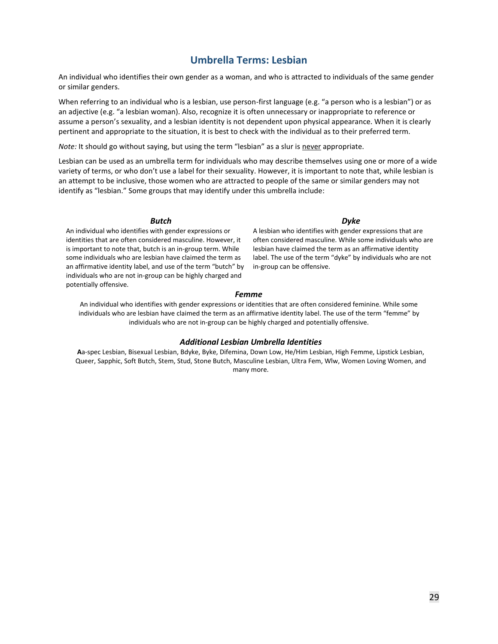# <span id="page-28-0"></span>**Umbrella Terms: Lesbian**

An individual who identifies their own gender as a woman, and who is attracted to individuals of the same gender or similar genders.

When referring to an individual who is a lesbian, use person-first language (e.g. "a person who is a lesbian") or as an adjective (e.g. "a lesbian woman). Also, recognize it is often unnecessary or inappropriate to reference or assume a person's sexuality, and a lesbian identity is not dependent upon physical appearance. When it is clearly pertinent and appropriate to the situation, it is best to check with the individual as to their preferred term.

*Note:* It should go without saying, but using the term "lesbian" as a slur is never appropriate.

Lesbian can be used as an umbrella term for individuals who may describe themselves using one or more of a wide variety of terms, or who don't use a label for their sexuality. However, it is important to note that, while lesbian is an attempt to be inclusive, those women who are attracted to people of the same or similar genders may not identify as "lesbian." Some groups that may identify under this umbrella include:

#### *Butch*

An individual who identifies with gender expressions or identities that are often considered masculine. However, it is important to note that, butch is an in-group term. While some individuals who are lesbian have claimed the term as an affirmative identity label, and use of the term "butch" by individuals who are not in-group can be highly charged and potentially offensive.

A lesbian who identifies with gender expressions that are often considered masculine. While some individuals who are lesbian have claimed the term as an affirmative identity label. The use of the term "dyke" by individuals who are not in-group can be offensive.

*Dyke*

#### *Femme*

An individual who identifies with gender expressions or identities that are often considered feminine. While some individuals who are lesbian have claimed the term as an affirmative identity label. The use of the term "femme" by individuals who are not in-group can be highly charged and potentially offensive.

## *Additional Lesbian Umbrella Identities*

**A**a-spec Lesbian, Bisexual Lesbian, Bdyke, Byke, Difemina, Down Low, He/Him Lesbian, High Femme, Lipstick Lesbian, Queer, Sapphic, Soft Butch, Stem, Stud, Stone Butch, Masculine Lesbian, Ultra Fem, Wlw, Women Loving Women, and many more.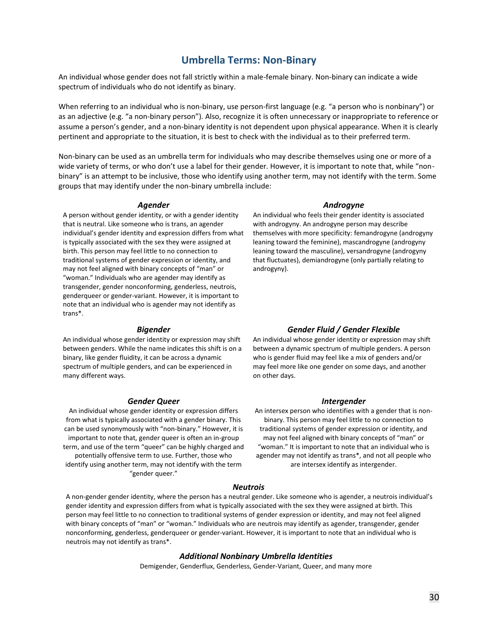# <span id="page-29-0"></span>**Umbrella Terms: Non-Binary**

An individual whose gender does not fall strictly within a male-female binary. Non-binary can indicate a wide spectrum of individuals who do not identify as binary.

When referring to an individual who is non-binary, use person-first language (e.g. "a person who is nonbinary") or as an adjective (e.g. "a non-binary person"). Also, recognize it is often unnecessary or inappropriate to reference or assume a person's gender, and a non-binary identity is not dependent upon physical appearance. When it is clearly pertinent and appropriate to the situation, it is best to check with the individual as to their preferred term.

Non-binary can be used as an umbrella term for individuals who may describe themselves using one or more of a wide variety of terms, or who don't use a label for their gender. However, it is important to note that, while "nonbinary" is an attempt to be inclusive, those who identify using another term, may not identify with the term. Some groups that may identify under the non-binary umbrella include:

#### *Agender*

A person without gender identity, or with a gender identity that is neutral. Like someone who is trans, an agender individual's gender identity and expression differs from what is typically associated with the sex they were assigned at birth. This person may feel little to no connection to traditional systems of gender expression or identity, and may not feel aligned with binary concepts of "man" or "woman." Individuals who are agender may identify as transgender, gender nonconforming, genderless, neutrois, genderqueer or gender-variant. However, it is important to note that an individual who is agender may not identify as trans\*.

#### *Bigender*

An individual whose gender identity or expression may shift between genders. While the name indicates this shift is on a binary, like gender fluidity, it can be across a dynamic spectrum of multiple genders, and can be experienced in many different ways.

#### *Gender Queer*

An individual whose gender identity or expression differs from what is typically associated with a gender binary. This can be used synonymously with "non-binary." However, it is important to note that, gender queer is often an in-group term, and use of the term "queer" can be highly charged and potentially offensive term to use. Further, those who identify using another term, may not identify with the term "gender queer."

#### *Androgyne*

An individual who feels their gender identity is associated with androgyny. An androgyne person may describe themselves with more specificity: femandrogyne (androgyny leaning toward the feminine), mascandrogyne (androgyny leaning toward the masculine), versandrogyne (androgyny that fluctuates), demiandrogyne (only partially relating to androgyny).

## *Gender Fluid / Gender Flexible*

An individual whose gender identity or expression may shift between a dynamic spectrum of multiple genders. A person who is gender fluid may feel like a mix of genders and/or may feel more like one gender on some days, and another on other days.

#### *Intergender*

An intersex person who identifies with a gender that is nonbinary. This person may feel little to no connection to traditional systems of gender expression or identity, and may not feel aligned with binary concepts of "man" or "woman." It is important to note that an individual who is agender may not identify as trans\*, and not all people who are intersex identify as intergender.

#### *Neutrois*

A non-gender gender identity, where the person has a neutral gender. Like someone who is agender, a neutrois individual's gender identity and expression differs from what is typically associated with the sex they were assigned at birth. This person may feel little to no connection to traditional systems of gender expression or identity, and may not feel aligned with binary concepts of "man" or "woman." Individuals who are neutrois may identify as agender, transgender, gender nonconforming, genderless, genderqueer or gender-variant. However, it is important to note that an individual who is neutrois may not identify as trans\*.

## *Additional Nonbinary Umbrella Identities*

Demigender, Genderflux, Genderless, Gender-Variant, Queer, and many more